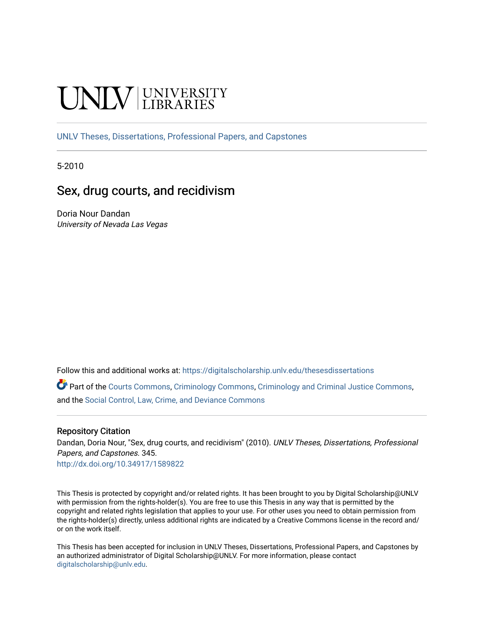# **INIVERSITY**

[UNLV Theses, Dissertations, Professional Papers, and Capstones](https://digitalscholarship.unlv.edu/thesesdissertations)

5-2010

# Sex, drug courts, and recidivism

Doria Nour Dandan University of Nevada Las Vegas

Follow this and additional works at: [https://digitalscholarship.unlv.edu/thesesdissertations](https://digitalscholarship.unlv.edu/thesesdissertations?utm_source=digitalscholarship.unlv.edu%2Fthesesdissertations%2F345&utm_medium=PDF&utm_campaign=PDFCoverPages)

Part of the [Courts Commons,](http://network.bepress.com/hgg/discipline/839?utm_source=digitalscholarship.unlv.edu%2Fthesesdissertations%2F345&utm_medium=PDF&utm_campaign=PDFCoverPages) [Criminology Commons,](http://network.bepress.com/hgg/discipline/417?utm_source=digitalscholarship.unlv.edu%2Fthesesdissertations%2F345&utm_medium=PDF&utm_campaign=PDFCoverPages) [Criminology and Criminal Justice Commons](http://network.bepress.com/hgg/discipline/367?utm_source=digitalscholarship.unlv.edu%2Fthesesdissertations%2F345&utm_medium=PDF&utm_campaign=PDFCoverPages), and the [Social Control, Law, Crime, and Deviance Commons](http://network.bepress.com/hgg/discipline/429?utm_source=digitalscholarship.unlv.edu%2Fthesesdissertations%2F345&utm_medium=PDF&utm_campaign=PDFCoverPages)

#### Repository Citation

Dandan, Doria Nour, "Sex, drug courts, and recidivism" (2010). UNLV Theses, Dissertations, Professional Papers, and Capstones. 345. <http://dx.doi.org/10.34917/1589822>

This Thesis is protected by copyright and/or related rights. It has been brought to you by Digital Scholarship@UNLV with permission from the rights-holder(s). You are free to use this Thesis in any way that is permitted by the copyright and related rights legislation that applies to your use. For other uses you need to obtain permission from the rights-holder(s) directly, unless additional rights are indicated by a Creative Commons license in the record and/ or on the work itself.

This Thesis has been accepted for inclusion in UNLV Theses, Dissertations, Professional Papers, and Capstones by an authorized administrator of Digital Scholarship@UNLV. For more information, please contact [digitalscholarship@unlv.edu](mailto:digitalscholarship@unlv.edu).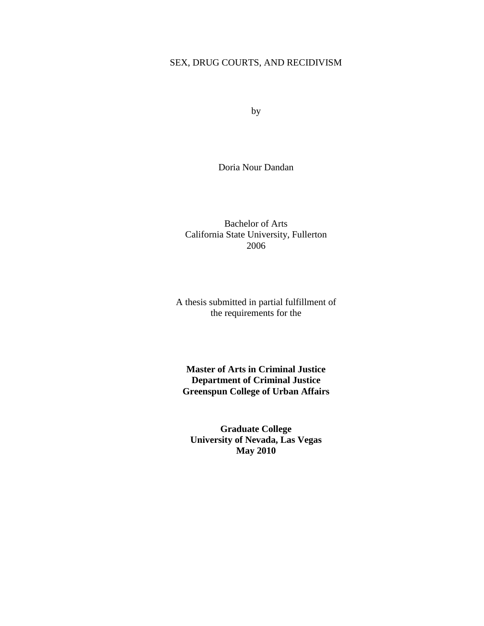# SEX, DRUG COURTS, AND RECIDIVISM

by

Doria Nour Dandan

Bachelor of Arts California State University, Fullerton 2006

A thesis submitted in partial fulfillment of the requirements for the

**Master of Arts in Criminal Justice Department of Criminal Justice Greenspun College of Urban Affairs**

**Graduate College University of Nevada, Las Vegas May 2010**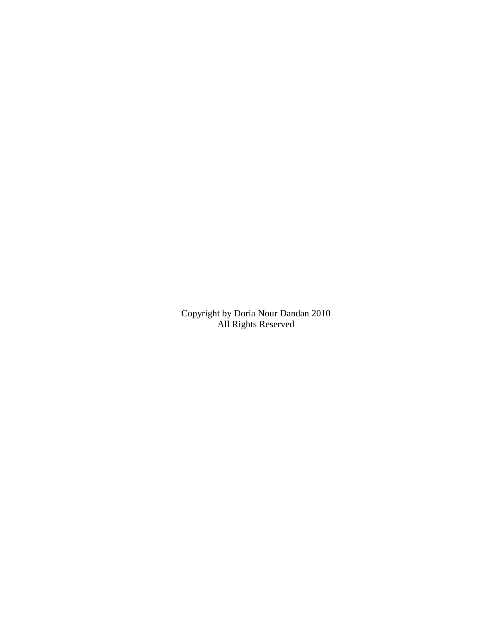Copyright by Doria Nour Dandan 2010 All Rights Reserved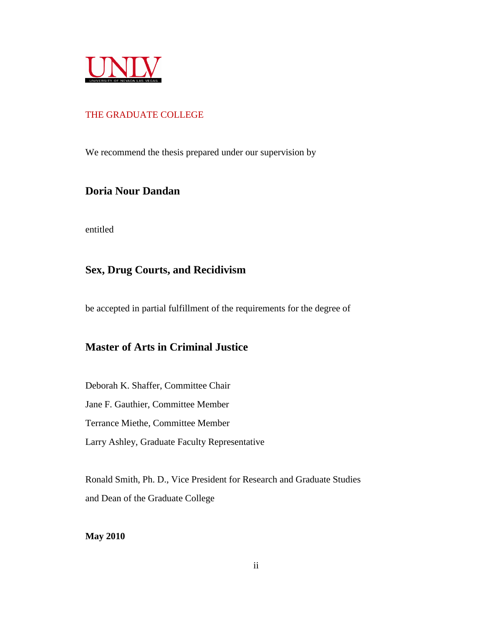

# THE GRADUATE COLLEGE

We recommend the thesis prepared under our supervision by

# **Doria Nour Dandan**

entitled

# **Sex, Drug Courts, and Recidivism**

be accepted in partial fulfillment of the requirements for the degree of

# **Master of Arts in Criminal Justice**

Deborah K. Shaffer, Committee Chair Jane F. Gauthier, Committee Member Terrance Miethe, Committee Member Larry Ashley, Graduate Faculty Representative

Ronald Smith, Ph. D., Vice President for Research and Graduate Studies and Dean of the Graduate College

**May 2010**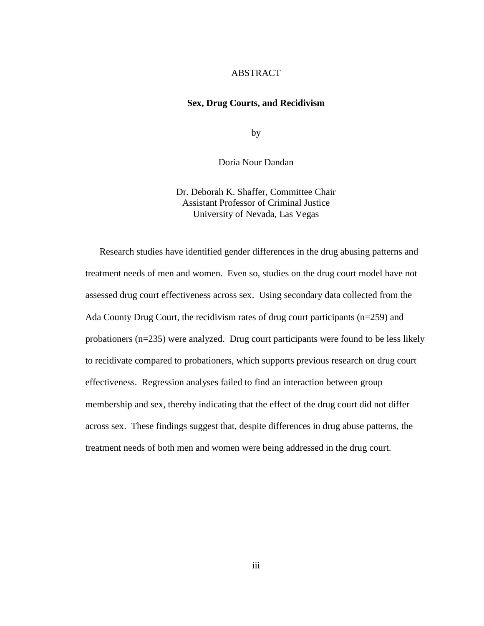# **ABSTRACT**

#### **Sex, Drug Courts, and Recidivism**

by

Doria Nour Dandan

Dr. Deborah K. Shaffer, Committee Chair Assistant Professor of Criminal Justice University of Nevada, Las Vegas

Research studies have identified gender differences in the drug abusing patterns and treatment needs of men and women. Even so, studies on the drug court model have not assessed drug court effectiveness across sex. Using secondary data collected from the Ada County Drug Court, the recidivism rates of drug court participants (n=259) and probationers (n=235) were analyzed. Drug court participants were found to be less likely to recidivate compared to probationers, which supports previous research on drug court effectiveness. Regression analyses failed to find an interaction between group membership and sex, thereby indicating that the effect of the drug court did not differ across sex. These findings suggest that, despite differences in drug abuse patterns, the treatment needs of both men and women were being addressed in the drug court.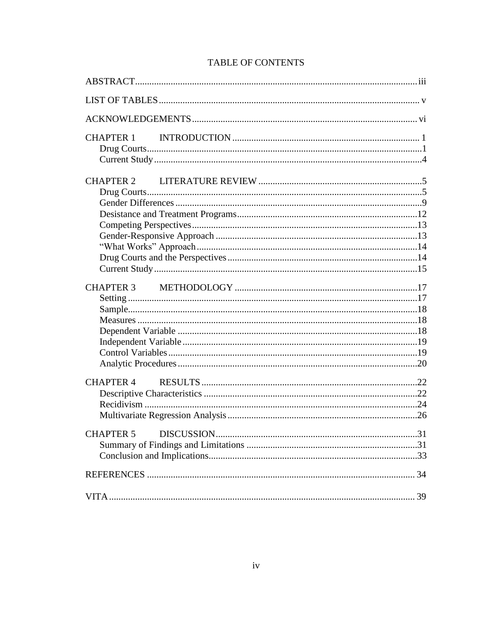| <b>TABLE OF CONTENTS</b> |  |
|--------------------------|--|
|--------------------------|--|

| CHAPTER 1        |  |
|------------------|--|
|                  |  |
|                  |  |
| <b>CHAPTER 4</b> |  |
| <b>CHAPTER 5</b> |  |
|                  |  |
|                  |  |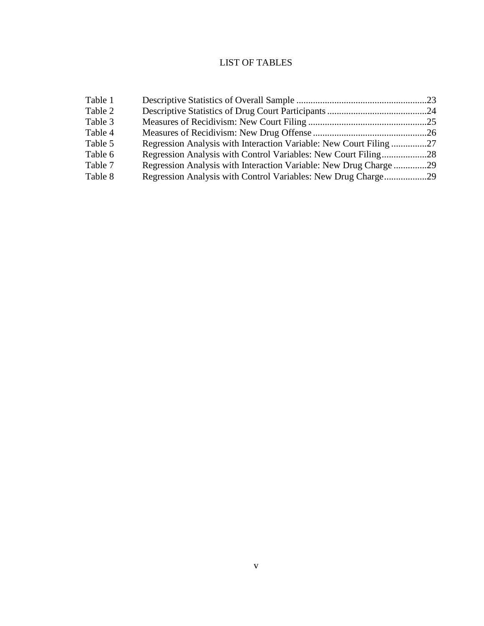# LIST OF TABLES

| Table 1                                                                      |  |
|------------------------------------------------------------------------------|--|
| Table 2                                                                      |  |
| Table 3                                                                      |  |
| Table 4                                                                      |  |
| Table 5<br>Regression Analysis with Interaction Variable: New Court Filing27 |  |
| Regression Analysis with Control Variables: New Court Filing28<br>Table 6    |  |
| Regression Analysis with Interaction Variable: New Drug Charge29<br>Table 7  |  |
| Table 8<br>Regression Analysis with Control Variables: New Drug Charge29     |  |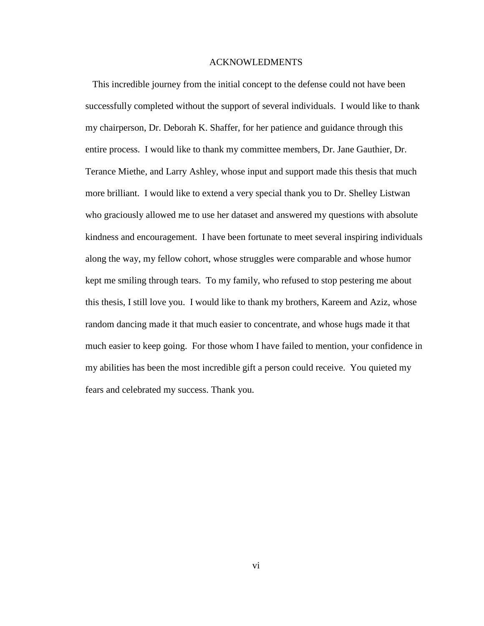#### ACKNOWLEDMENTS

This incredible journey from the initial concept to the defense could not have been successfully completed without the support of several individuals. I would like to thank my chairperson, Dr. Deborah K. Shaffer, for her patience and guidance through this entire process. I would like to thank my committee members, Dr. Jane Gauthier, Dr. Terance Miethe, and Larry Ashley, whose input and support made this thesis that much more brilliant. I would like to extend a very special thank you to Dr. Shelley Listwan who graciously allowed me to use her dataset and answered my questions with absolute kindness and encouragement. I have been fortunate to meet several inspiring individuals along the way, my fellow cohort, whose struggles were comparable and whose humor kept me smiling through tears. To my family, who refused to stop pestering me about this thesis, I still love you. I would like to thank my brothers, Kareem and Aziz, whose random dancing made it that much easier to concentrate, and whose hugs made it that much easier to keep going. For those whom I have failed to mention, your confidence in my abilities has been the most incredible gift a person could receive. You quieted my fears and celebrated my success. Thank you.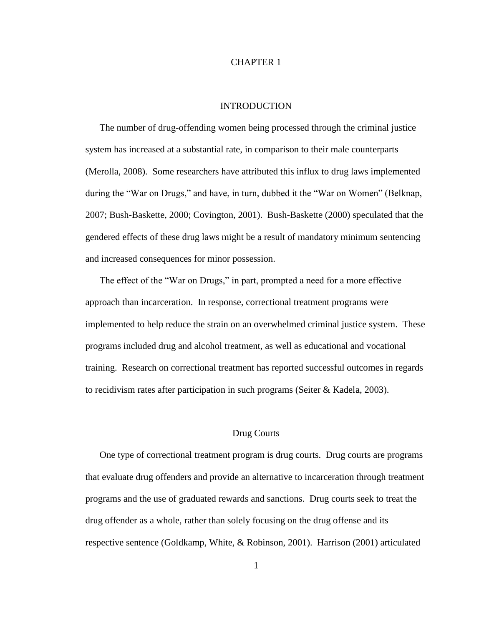# CHAPTER 1

# INTRODUCTION

The number of drug-offending women being processed through the criminal justice system has increased at a substantial rate, in comparison to their male counterparts (Merolla, 2008). Some researchers have attributed this influx to drug laws implemented during the "War on Drugs," and have, in turn, dubbed it the "War on Women" (Belknap, 2007; Bush-Baskette, 2000; Covington, 2001). Bush-Baskette (2000) speculated that the gendered effects of these drug laws might be a result of mandatory minimum sentencing and increased consequences for minor possession.

The effect of the "War on Drugs," in part, prompted a need for a more effective approach than incarceration. In response, correctional treatment programs were implemented to help reduce the strain on an overwhelmed criminal justice system. These programs included drug and alcohol treatment, as well as educational and vocational training. Research on correctional treatment has reported successful outcomes in regards to recidivism rates after participation in such programs (Seiter  $&$  Kadela, 2003).

## Drug Courts

One type of correctional treatment program is drug courts. Drug courts are programs that evaluate drug offenders and provide an alternative to incarceration through treatment programs and the use of graduated rewards and sanctions. Drug courts seek to treat the drug offender as a whole, rather than solely focusing on the drug offense and its respective sentence (Goldkamp, White, & Robinson, 2001). Harrison (2001) articulated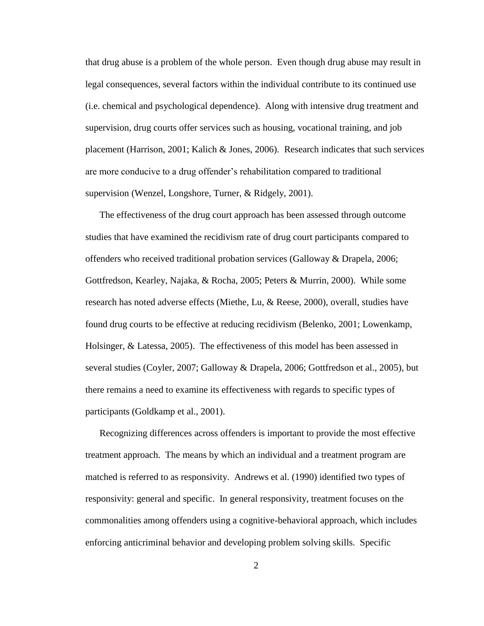that drug abuse is a problem of the whole person. Even though drug abuse may result in legal consequences, several factors within the individual contribute to its continued use (i.e. chemical and psychological dependence). Along with intensive drug treatment and supervision, drug courts offer services such as housing, vocational training, and job placement (Harrison, 2001; Kalich & Jones, 2006). Research indicates that such services are more conducive to a drug offender's rehabilitation compared to traditional supervision (Wenzel, Longshore, Turner, & Ridgely, 2001).

The effectiveness of the drug court approach has been assessed through outcome studies that have examined the recidivism rate of drug court participants compared to offenders who received traditional probation services (Galloway & Drapela, 2006; Gottfredson, Kearley, Najaka, & Rocha, 2005; Peters & Murrin, 2000). While some research has noted adverse effects (Miethe, Lu, & Reese, 2000), overall, studies have found drug courts to be effective at reducing recidivism (Belenko, 2001; Lowenkamp, Holsinger, & Latessa, 2005). The effectiveness of this model has been assessed in several studies (Coyler, 2007; Galloway & Drapela, 2006; Gottfredson et al., 2005), but there remains a need to examine its effectiveness with regards to specific types of participants (Goldkamp et al., 2001).

Recognizing differences across offenders is important to provide the most effective treatment approach. The means by which an individual and a treatment program are matched is referred to as responsivity. Andrews et al. (1990) identified two types of responsivity: general and specific. In general responsivity, treatment focuses on the commonalities among offenders using a cognitive-behavioral approach, which includes enforcing anticriminal behavior and developing problem solving skills. Specific

2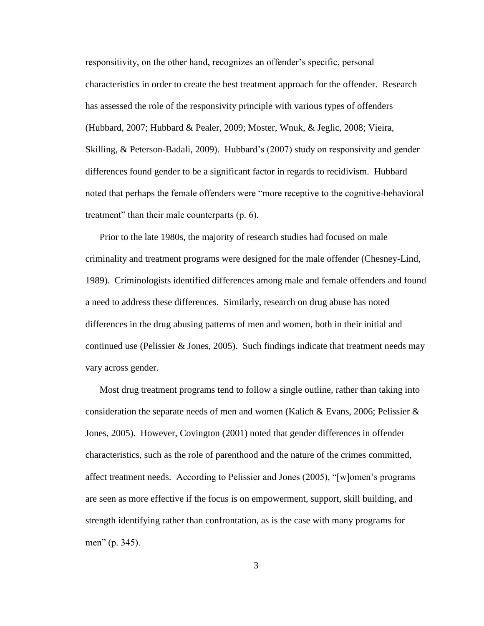responsitivity, on the other hand, recognizes an offender's specific, personal characteristics in order to create the best treatment approach for the offender. Research has assessed the role of the responsivity principle with various types of offenders (Hubbard, 2007; Hubbard & Pealer, 2009; Moster, Wnuk, & Jeglic, 2008; Vieira, Skilling, & Peterson-Badali, 2009). Hubbard's (2007) study on responsivity and gender differences found gender to be a significant factor in regards to recidivism. Hubbard noted that perhaps the female offenders were "more receptive to the cognitive-behavioral treatment" than their male counterparts (p. 6).

Prior to the late 1980s, the majority of research studies had focused on male criminality and treatment programs were designed for the male offender (Chesney-Lind, 1989). Criminologists identified differences among male and female offenders and found a need to address these differences. Similarly, research on drug abuse has noted differences in the drug abusing patterns of men and women, both in their initial and continued use (Pelissier  $\&$  Jones, 2005). Such findings indicate that treatment needs may vary across gender.

Most drug treatment programs tend to follow a single outline, rather than taking into consideration the separate needs of men and women (Kalich & Evans, 2006; Pelissier & Jones, 2005). However, Covington (2001) noted that gender differences in offender characteristics, such as the role of parenthood and the nature of the crimes committed, affect treatment needs. According to Pelissier and Jones (2005), "[w]omen's programs are seen as more effective if the focus is on empowerment, support, skill building, and strength identifying rather than confrontation, as is the case with many programs for men" (p. 345).

3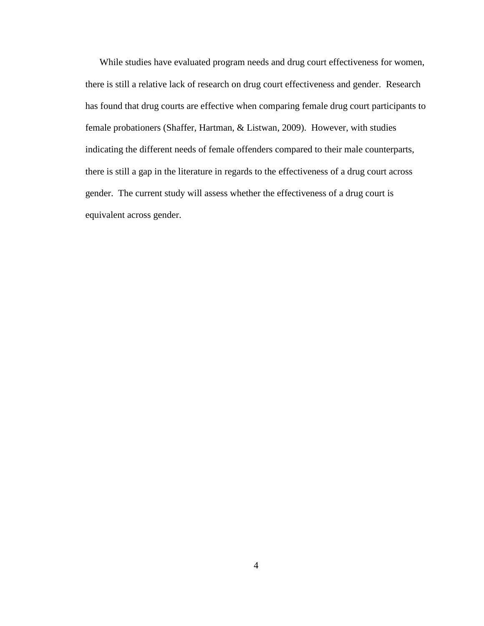While studies have evaluated program needs and drug court effectiveness for women, there is still a relative lack of research on drug court effectiveness and gender. Research has found that drug courts are effective when comparing female drug court participants to female probationers (Shaffer, Hartman, & Listwan, 2009). However, with studies indicating the different needs of female offenders compared to their male counterparts, there is still a gap in the literature in regards to the effectiveness of a drug court across gender. The current study will assess whether the effectiveness of a drug court is equivalent across gender.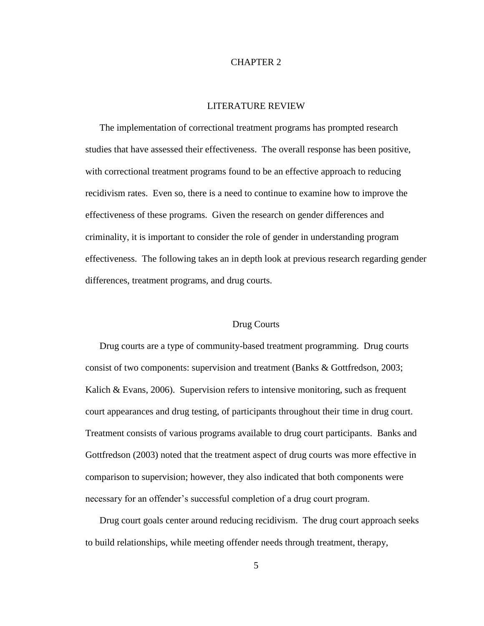## CHAPTER 2

# LITERATURE REVIEW

The implementation of correctional treatment programs has prompted research studies that have assessed their effectiveness. The overall response has been positive, with correctional treatment programs found to be an effective approach to reducing recidivism rates. Even so, there is a need to continue to examine how to improve the effectiveness of these programs. Given the research on gender differences and criminality, it is important to consider the role of gender in understanding program effectiveness. The following takes an in depth look at previous research regarding gender differences, treatment programs, and drug courts.

#### Drug Courts

Drug courts are a type of community-based treatment programming. Drug courts consist of two components: supervision and treatment (Banks & Gottfredson, 2003; Kalich  $\&$  Evans, 2006). Supervision refers to intensive monitoring, such as frequent court appearances and drug testing, of participants throughout their time in drug court. Treatment consists of various programs available to drug court participants. Banks and Gottfredson (2003) noted that the treatment aspect of drug courts was more effective in comparison to supervision; however, they also indicated that both components were necessary for an offender's successful completion of a drug court program.

Drug court goals center around reducing recidivism. The drug court approach seeks to build relationships, while meeting offender needs through treatment, therapy,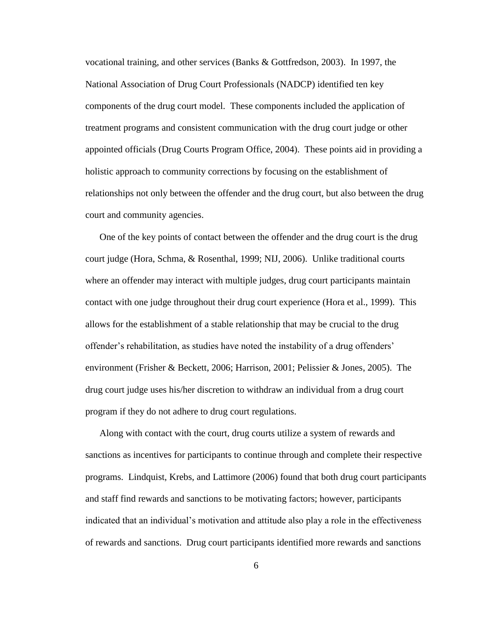vocational training, and other services (Banks & Gottfredson, 2003). In 1997, the National Association of Drug Court Professionals (NADCP) identified ten key components of the drug court model. These components included the application of treatment programs and consistent communication with the drug court judge or other appointed officials (Drug Courts Program Office, 2004). These points aid in providing a holistic approach to community corrections by focusing on the establishment of relationships not only between the offender and the drug court, but also between the drug court and community agencies.

One of the key points of contact between the offender and the drug court is the drug court judge (Hora, Schma, & Rosenthal, 1999; NIJ, 2006). Unlike traditional courts where an offender may interact with multiple judges, drug court participants maintain contact with one judge throughout their drug court experience (Hora et al., 1999). This allows for the establishment of a stable relationship that may be crucial to the drug offender's rehabilitation, as studies have noted the instability of a drug offenders' environment (Frisher & Beckett, 2006; Harrison, 2001; Pelissier & Jones, 2005). The drug court judge uses his/her discretion to withdraw an individual from a drug court program if they do not adhere to drug court regulations.

Along with contact with the court, drug courts utilize a system of rewards and sanctions as incentives for participants to continue through and complete their respective programs. Lindquist, Krebs, and Lattimore (2006) found that both drug court participants and staff find rewards and sanctions to be motivating factors; however, participants indicated that an individual's motivation and attitude also play a role in the effectiveness of rewards and sanctions. Drug court participants identified more rewards and sanctions

6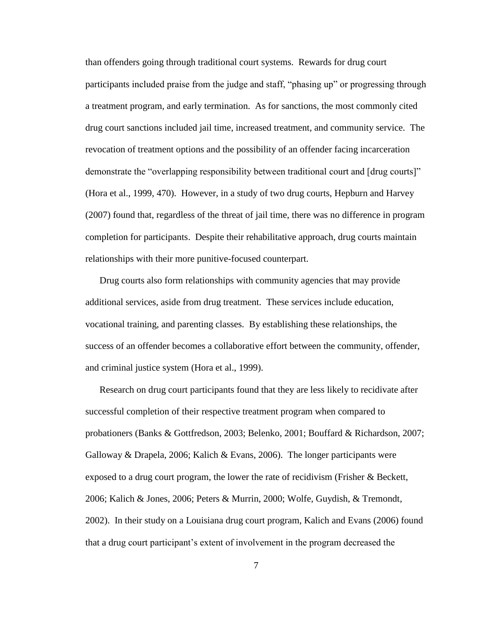than offenders going through traditional court systems. Rewards for drug court participants included praise from the judge and staff, "phasing up" or progressing through a treatment program, and early termination. As for sanctions, the most commonly cited drug court sanctions included jail time, increased treatment, and community service. The revocation of treatment options and the possibility of an offender facing incarceration demonstrate the "overlapping responsibility between traditional court and [drug courts]" (Hora et al., 1999, 470). However, in a study of two drug courts, Hepburn and Harvey (2007) found that, regardless of the threat of jail time, there was no difference in program completion for participants. Despite their rehabilitative approach, drug courts maintain relationships with their more punitive-focused counterpart.

Drug courts also form relationships with community agencies that may provide additional services, aside from drug treatment. These services include education, vocational training, and parenting classes. By establishing these relationships, the success of an offender becomes a collaborative effort between the community, offender, and criminal justice system (Hora et al., 1999).

Research on drug court participants found that they are less likely to recidivate after successful completion of their respective treatment program when compared to probationers (Banks & Gottfredson, 2003; Belenko, 2001; Bouffard & Richardson, 2007; Galloway & Drapela, 2006; Kalich & Evans, 2006). The longer participants were exposed to a drug court program, the lower the rate of recidivism (Frisher & Beckett, 2006; Kalich & Jones, 2006; Peters & Murrin, 2000; Wolfe, Guydish, & Tremondt, 2002). In their study on a Louisiana drug court program, Kalich and Evans (2006) found that a drug court participant's extent of involvement in the program decreased the

7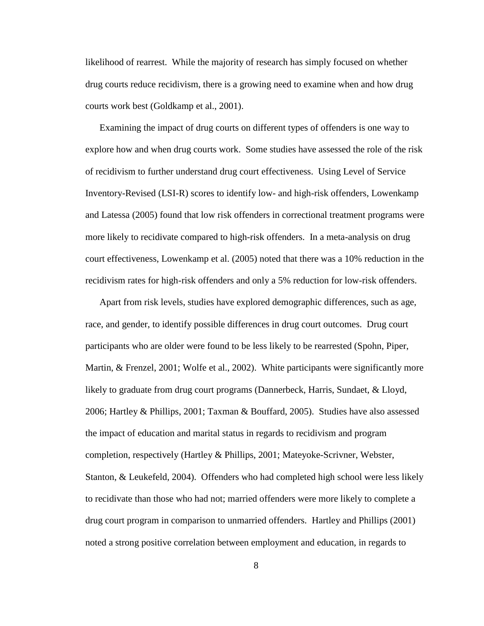likelihood of rearrest. While the majority of research has simply focused on whether drug courts reduce recidivism, there is a growing need to examine when and how drug courts work best (Goldkamp et al., 2001).

Examining the impact of drug courts on different types of offenders is one way to explore how and when drug courts work. Some studies have assessed the role of the risk of recidivism to further understand drug court effectiveness. Using Level of Service Inventory-Revised (LSI-R) scores to identify low- and high-risk offenders, Lowenkamp and Latessa (2005) found that low risk offenders in correctional treatment programs were more likely to recidivate compared to high-risk offenders. In a meta-analysis on drug court effectiveness, Lowenkamp et al. (2005) noted that there was a 10% reduction in the recidivism rates for high-risk offenders and only a 5% reduction for low-risk offenders.

Apart from risk levels, studies have explored demographic differences, such as age, race, and gender, to identify possible differences in drug court outcomes. Drug court participants who are older were found to be less likely to be rearrested (Spohn, Piper, Martin, & Frenzel, 2001; Wolfe et al., 2002). White participants were significantly more likely to graduate from drug court programs (Dannerbeck, Harris, Sundaet, & Lloyd, 2006; Hartley & Phillips, 2001; Taxman & Bouffard, 2005). Studies have also assessed the impact of education and marital status in regards to recidivism and program completion, respectively (Hartley & Phillips, 2001; Mateyoke-Scrivner, Webster, Stanton, & Leukefeld, 2004). Offenders who had completed high school were less likely to recidivate than those who had not; married offenders were more likely to complete a drug court program in comparison to unmarried offenders. Hartley and Phillips (2001) noted a strong positive correlation between employment and education, in regards to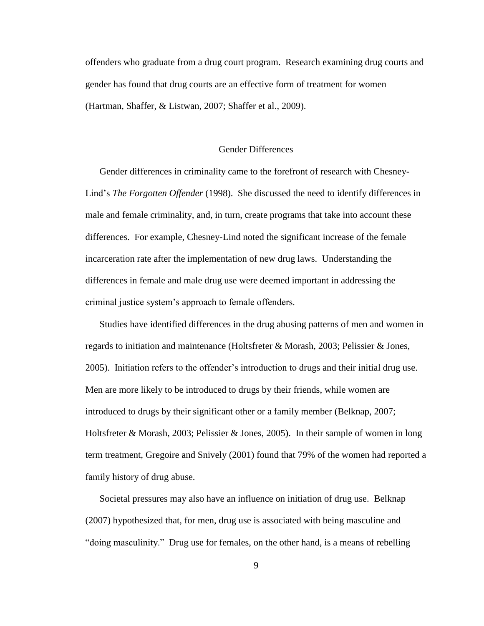offenders who graduate from a drug court program. Research examining drug courts and gender has found that drug courts are an effective form of treatment for women (Hartman, Shaffer, & Listwan, 2007; Shaffer et al., 2009).

#### Gender Differences

Gender differences in criminality came to the forefront of research with Chesney-Lind's *The Forgotten Offender* (1998). She discussed the need to identify differences in male and female criminality, and, in turn, create programs that take into account these differences. For example, Chesney-Lind noted the significant increase of the female incarceration rate after the implementation of new drug laws. Understanding the differences in female and male drug use were deemed important in addressing the criminal justice system's approach to female offenders.

Studies have identified differences in the drug abusing patterns of men and women in regards to initiation and maintenance (Holtsfreter & Morash, 2003; Pelissier & Jones, 2005). Initiation refers to the offender's introduction to drugs and their initial drug use. Men are more likely to be introduced to drugs by their friends, while women are introduced to drugs by their significant other or a family member (Belknap, 2007; Holtsfreter & Morash, 2003; Pelissier & Jones, 2005). In their sample of women in long term treatment, Gregoire and Snively (2001) found that 79% of the women had reported a family history of drug abuse.

Societal pressures may also have an influence on initiation of drug use.Belknap (2007) hypothesized that, for men, drug use is associated with being masculine and "doing masculinity." Drug use for females, on the other hand, is a means of rebelling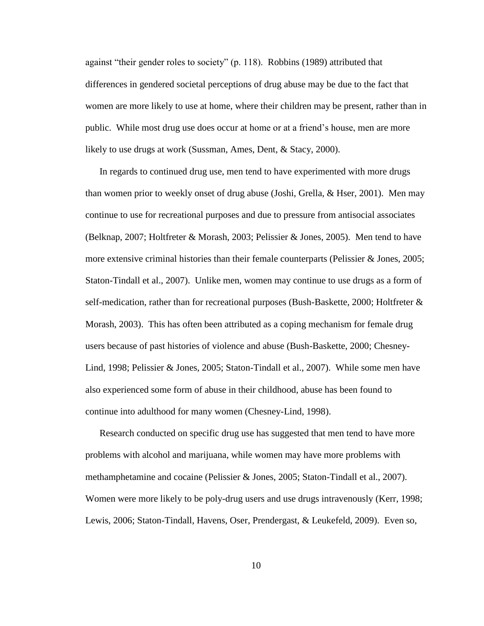against "their gender roles to society" (p. 118). Robbins (1989) attributed that differences in gendered societal perceptions of drug abuse may be due to the fact that women are more likely to use at home, where their children may be present, rather than in public. While most drug use does occur at home or at a friend's house, men are more likely to use drugs at work (Sussman, Ames, Dent, & Stacy, 2000).

In regards to continued drug use, men tend to have experimented with more drugs than women prior to weekly onset of drug abuse (Joshi, Grella, & Hser, 2001). Men may continue to use for recreational purposes and due to pressure from antisocial associates (Belknap, 2007; Holtfreter & Morash, 2003; Pelissier & Jones, 2005). Men tend to have more extensive criminal histories than their female counterparts (Pelissier  $\&$  Jones, 2005; Staton-Tindall et al., 2007). Unlike men, women may continue to use drugs as a form of self-medication, rather than for recreational purposes (Bush-Baskette, 2000; Holtfreter & Morash, 2003). This has often been attributed as a coping mechanism for female drug users because of past histories of violence and abuse (Bush-Baskette, 2000; Chesney-Lind, 1998; Pelissier & Jones, 2005; Staton-Tindall et al., 2007). While some men have also experienced some form of abuse in their childhood, abuse has been found to continue into adulthood for many women (Chesney-Lind, 1998).

Research conducted on specific drug use has suggested that men tend to have more problems with alcohol and marijuana, while women may have more problems with methamphetamine and cocaine (Pelissier & Jones, 2005; Staton-Tindall et al., 2007). Women were more likely to be poly-drug users and use drugs intravenously (Kerr, 1998; Lewis, 2006; Staton-Tindall, Havens, Oser, Prendergast, & Leukefeld, 2009). Even so,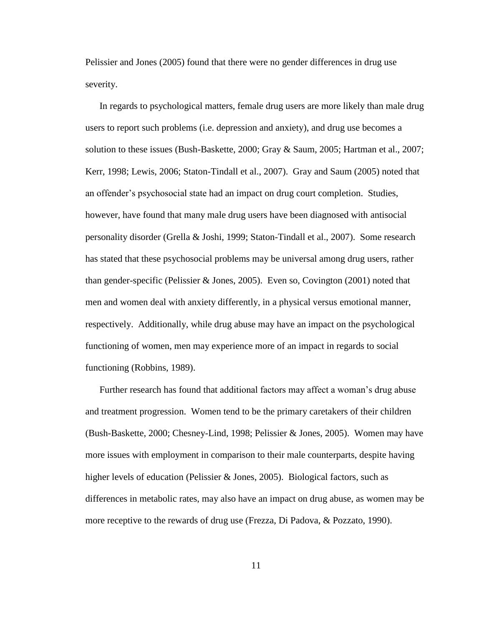Pelissier and Jones (2005) found that there were no gender differences in drug use severity.

In regards to psychological matters, female drug users are more likely than male drug users to report such problems (i.e. depression and anxiety), and drug use becomes a solution to these issues (Bush-Baskette, 2000; Gray & Saum, 2005; Hartman et al., 2007; Kerr, 1998; Lewis, 2006; Staton-Tindall et al., 2007). Gray and Saum (2005) noted that an offender's psychosocial state had an impact on drug court completion. Studies, however, have found that many male drug users have been diagnosed with antisocial personality disorder (Grella & Joshi, 1999; Staton-Tindall et al., 2007). Some research has stated that these psychosocial problems may be universal among drug users, rather than gender-specific (Pelissier  $& Jones, 2005$ ). Even so, Covington (2001) noted that men and women deal with anxiety differently, in a physical versus emotional manner, respectively. Additionally, while drug abuse may have an impact on the psychological functioning of women, men may experience more of an impact in regards to social functioning (Robbins, 1989).

Further research has found that additional factors may affect a woman's drug abuse and treatment progression. Women tend to be the primary caretakers of their children (Bush-Baskette, 2000; Chesney-Lind, 1998; Pelissier & Jones, 2005). Women may have more issues with employment in comparison to their male counterparts, despite having higher levels of education (Pelissier & Jones, 2005). Biological factors, such as differences in metabolic rates, may also have an impact on drug abuse, as women may be more receptive to the rewards of drug use (Frezza, Di Padova, & Pozzato, 1990).

11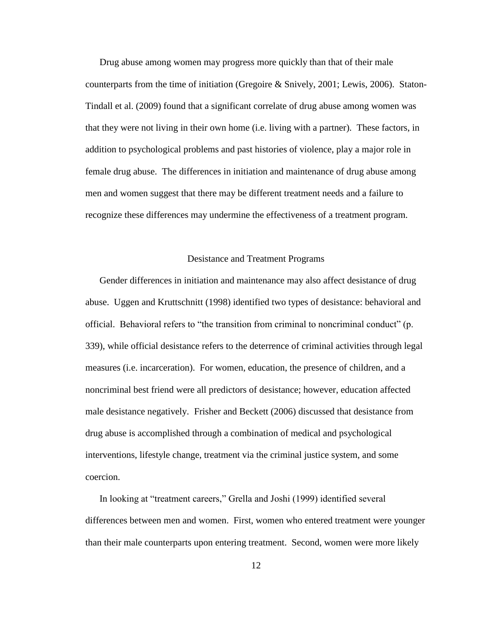Drug abuse among women may progress more quickly than that of their male counterparts from the time of initiation (Gregoire & Snively, 2001; Lewis, 2006). Staton-Tindall et al. (2009) found that a significant correlate of drug abuse among women was that they were not living in their own home (i.e. living with a partner). These factors, in addition to psychological problems and past histories of violence, play a major role in female drug abuse. The differences in initiation and maintenance of drug abuse among men and women suggest that there may be different treatment needs and a failure to recognize these differences may undermine the effectiveness of a treatment program.

#### Desistance and Treatment Programs

Gender differences in initiation and maintenance may also affect desistance of drug abuse. Uggen and Kruttschnitt (1998) identified two types of desistance: behavioral and official. Behavioral refers to "the transition from criminal to noncriminal conduct" (p. 339), while official desistance refers to the deterrence of criminal activities through legal measures (i.e. incarceration). For women, education, the presence of children, and a noncriminal best friend were all predictors of desistance; however, education affected male desistance negatively. Frisher and Beckett (2006) discussed that desistance from drug abuse is accomplished through a combination of medical and psychological interventions, lifestyle change, treatment via the criminal justice system, and some coercion.

In looking at "treatment careers," Grella and Joshi (1999) identified several differences between men and women. First, women who entered treatment were younger than their male counterparts upon entering treatment. Second, women were more likely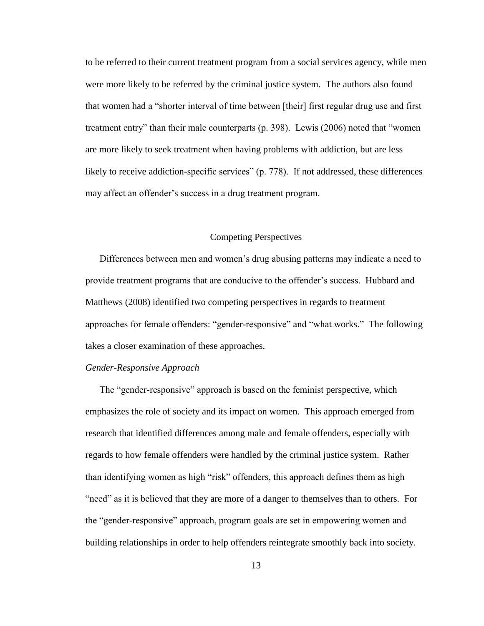to be referred to their current treatment program from a social services agency, while men were more likely to be referred by the criminal justice system. The authors also found that women had a "shorter interval of time between [their] first regular drug use and first treatment entry" than their male counterparts (p. 398). Lewis (2006) noted that "women are more likely to seek treatment when having problems with addiction, but are less likely to receive addiction-specific services" (p. 778). If not addressed, these differences may affect an offender's success in a drug treatment program.

## Competing Perspectives

Differences between men and women's drug abusing patterns may indicate a need to provide treatment programs that are conducive to the offender's success. Hubbard and Matthews (2008) identified two competing perspectives in regards to treatment approaches for female offenders: "gender-responsive" and "what works." The following takes a closer examination of these approaches.

#### *Gender-Responsive Approach*

The "gender-responsive" approach is based on the feminist perspective, which emphasizes the role of society and its impact on women. This approach emerged from research that identified differences among male and female offenders, especially with regards to how female offenders were handled by the criminal justice system. Rather than identifying women as high "risk" offenders, this approach defines them as high "need" as it is believed that they are more of a danger to themselves than to others. For the "gender-responsive" approach, program goals are set in empowering women and building relationships in order to help offenders reintegrate smoothly back into society.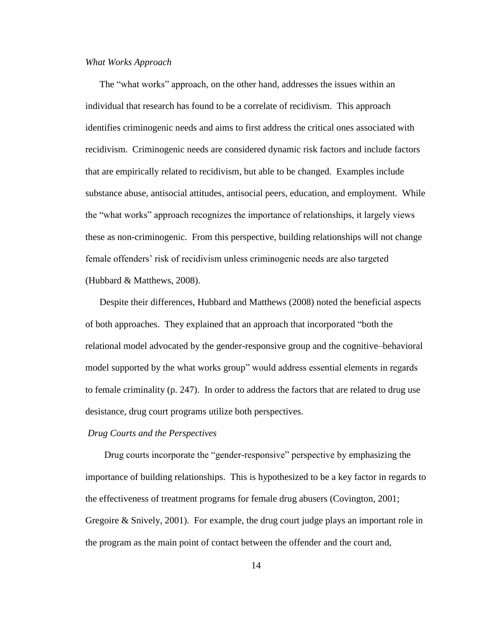#### *What Works Approach*

The "what works" approach, on the other hand, addresses the issues within an individual that research has found to be a correlate of recidivism. This approach identifies criminogenic needs and aims to first address the critical ones associated with recidivism. Criminogenic needs are considered dynamic risk factors and include factors that are empirically related to recidivism, but able to be changed. Examples include substance abuse, antisocial attitudes, antisocial peers, education, and employment. While the "what works" approach recognizes the importance of relationships, it largely views these as non-criminogenic. From this perspective, building relationships will not change female offenders' risk of recidivism unless criminogenic needs are also targeted (Hubbard & Matthews, 2008).

Despite their differences, Hubbard and Matthews (2008) noted the beneficial aspects of both approaches. They explained that an approach that incorporated "both the relational model advocated by the gender-responsive group and the cognitive–behavioral model supported by the what works group" would address essential elements in regards to female criminality (p. 247). In order to address the factors that are related to drug use desistance, drug court programs utilize both perspectives.

#### *Drug Courts and the Perspectives*

 Drug courts incorporate the "gender-responsive" perspective by emphasizing the importance of building relationships. This is hypothesized to be a key factor in regards to the effectiveness of treatment programs for female drug abusers (Covington, 2001; Gregoire & Snively, 2001). For example, the drug court judge plays an important role in the program as the main point of contact between the offender and the court and,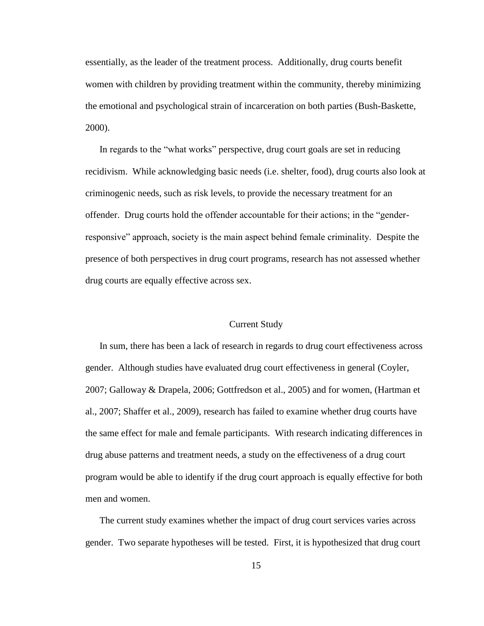essentially, as the leader of the treatment process. Additionally, drug courts benefit women with children by providing treatment within the community, thereby minimizing the emotional and psychological strain of incarceration on both parties (Bush-Baskette, 2000).

In regards to the "what works" perspective, drug court goals are set in reducing recidivism. While acknowledging basic needs (i.e. shelter, food), drug courts also look at criminogenic needs, such as risk levels, to provide the necessary treatment for an offender. Drug courts hold the offender accountable for their actions; in the "genderresponsive" approach, society is the main aspect behind female criminality. Despite the presence of both perspectives in drug court programs, research has not assessed whether drug courts are equally effective across sex.

#### Current Study

In sum, there has been a lack of research in regards to drug court effectiveness across gender. Although studies have evaluated drug court effectiveness in general (Coyler, 2007; Galloway & Drapela, 2006; Gottfredson et al., 2005) and for women, (Hartman et al., 2007; Shaffer et al., 2009), research has failed to examine whether drug courts have the same effect for male and female participants. With research indicating differences in drug abuse patterns and treatment needs, a study on the effectiveness of a drug court program would be able to identify if the drug court approach is equally effective for both men and women.

The current study examines whether the impact of drug court services varies across gender. Two separate hypotheses will be tested. First, it is hypothesized that drug court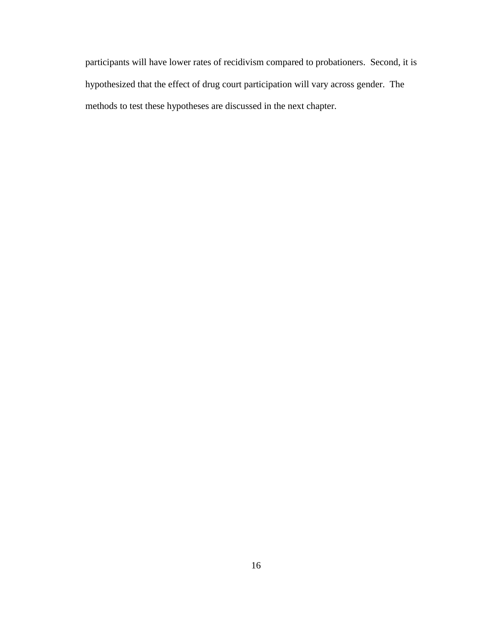participants will have lower rates of recidivism compared to probationers. Second, it is hypothesized that the effect of drug court participation will vary across gender. The methods to test these hypotheses are discussed in the next chapter.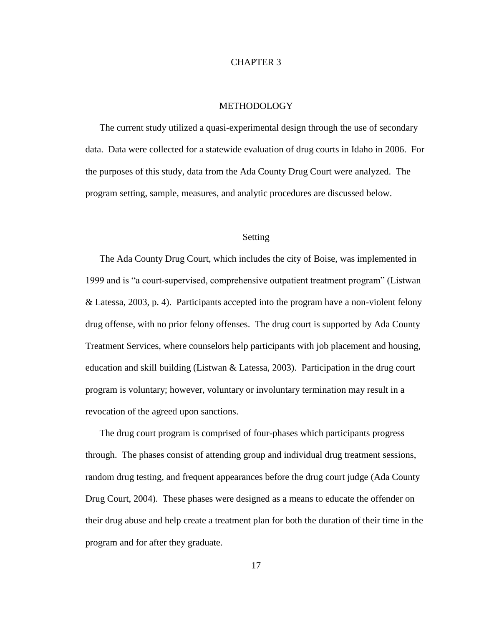## CHAPTER 3

#### METHODOLOGY

The current study utilized a quasi-experimental design through the use of secondary data. Data were collected for a statewide evaluation of drug courts in Idaho in 2006. For the purposes of this study, data from the Ada County Drug Court were analyzed. The program setting, sample, measures, and analytic procedures are discussed below.

## Setting

The Ada County Drug Court, which includes the city of Boise, was implemented in 1999 and is "a court-supervised, comprehensive outpatient treatment program" (Listwan & Latessa, 2003, p. 4). Participants accepted into the program have a non-violent felony drug offense, with no prior felony offenses. The drug court is supported by Ada County Treatment Services, where counselors help participants with job placement and housing, education and skill building (Listwan & Latessa, 2003). Participation in the drug court program is voluntary; however, voluntary or involuntary termination may result in a revocation of the agreed upon sanctions.

The drug court program is comprised of four-phases which participants progress through. The phases consist of attending group and individual drug treatment sessions, random drug testing, and frequent appearances before the drug court judge (Ada County Drug Court, 2004). These phases were designed as a means to educate the offender on their drug abuse and help create a treatment plan for both the duration of their time in the program and for after they graduate.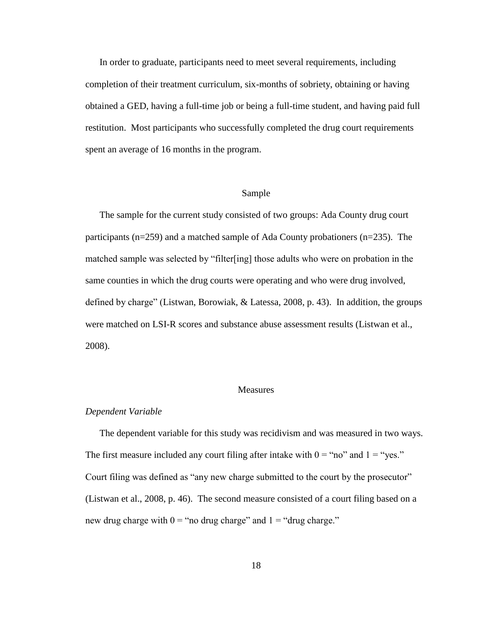In order to graduate, participants need to meet several requirements, including completion of their treatment curriculum, six-months of sobriety, obtaining or having obtained a GED, having a full-time job or being a full-time student, and having paid full restitution. Most participants who successfully completed the drug court requirements spent an average of 16 months in the program.

## Sample

The sample for the current study consisted of two groups: Ada County drug court participants (n=259) and a matched sample of Ada County probationers (n=235). The matched sample was selected by "filter[ing] those adults who were on probation in the same counties in which the drug courts were operating and who were drug involved, defined by charge" (Listwan, Borowiak,  $&$  Latessa, 2008, p. 43). In addition, the groups were matched on LSI-R scores and substance abuse assessment results (Listwan et al., 2008).

#### Measures

#### *Dependent Variable*

The dependent variable for this study was recidivism and was measured in two ways. The first measure included any court filing after intake with  $0 = \text{``no''}$  and  $1 = \text{``yes."}$ Court filing was defined as "any new charge submitted to the court by the prosecutor" (Listwan et al., 2008, p. 46). The second measure consisted of a court filing based on a new drug charge with  $0 =$  "no drug charge" and  $1 =$  "drug charge."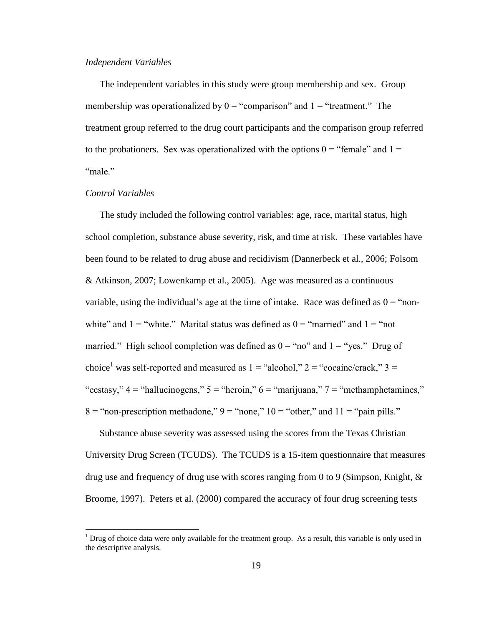#### *Independent Variables*

The independent variables in this study were group membership and sex. Group membership was operationalized by  $0 =$  "comparison" and  $1 =$  "treatment." The treatment group referred to the drug court participants and the comparison group referred to the probationers. Sex was operationalized with the options  $0 =$  "female" and  $1 =$ "male."

## *Control Variables*

 $\overline{a}$ 

The study included the following control variables: age, race, marital status, high school completion, substance abuse severity, risk, and time at risk. These variables have been found to be related to drug abuse and recidivism (Dannerbeck et al., 2006; Folsom & Atkinson, 2007; Lowenkamp et al., 2005). Age was measured as a continuous variable, using the individual's age at the time of intake. Race was defined as  $0 =$  "nonwhite" and  $1 =$  "white." Marital status was defined as  $0 =$  "married" and  $1 =$  "not married." High school completion was defined as  $0 = \text{``no''}$  and  $1 = \text{``yes."}$  Drug of choice<sup>1</sup> was self-reported and measured as  $1 =$  "alcohol,"  $2 =$  "cocaine/crack,"  $3 =$ "ecstasy,"  $4 =$  "hallucinogens,"  $5 =$  "heroin,"  $6 =$  "marijuana,"  $7 =$  "methamphetamines,"  $8 =$ "non-prescription methadone,"  $9 =$ "none,"  $10 =$ "other," and  $11 =$ "pain pills."

Substance abuse severity was assessed using the scores from the Texas Christian University Drug Screen (TCUDS). The TCUDS is a 15-item questionnaire that measures drug use and frequency of drug use with scores ranging from 0 to 9 (Simpson, Knight, & Broome, 1997). Peters et al. (2000) compared the accuracy of four drug screening tests

<sup>&</sup>lt;sup>1</sup> Drug of choice data were only available for the treatment group. As a result, this variable is only used in the descriptive analysis.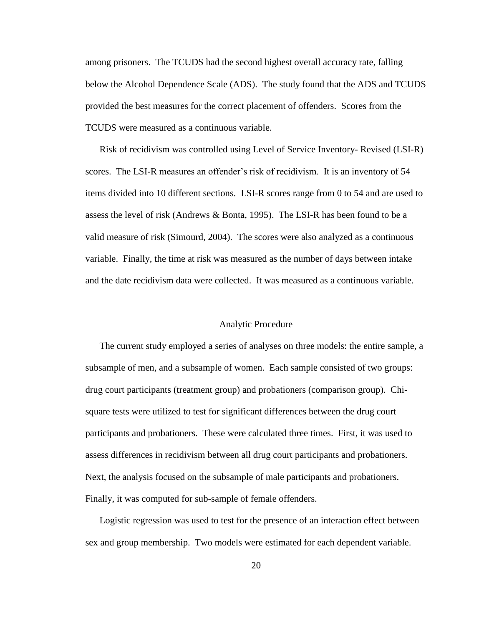among prisoners. The TCUDS had the second highest overall accuracy rate, falling below the Alcohol Dependence Scale (ADS). The study found that the ADS and TCUDS provided the best measures for the correct placement of offenders. Scores from the TCUDS were measured as a continuous variable.

Risk of recidivism was controlled using Level of Service Inventory- Revised (LSI-R) scores. The LSI-R measures an offender's risk of recidivism. It is an inventory of 54 items divided into 10 different sections. LSI-R scores range from 0 to 54 and are used to assess the level of risk (Andrews & Bonta, 1995). The LSI-R has been found to be a valid measure of risk (Simourd, 2004). The scores were also analyzed as a continuous variable. Finally, the time at risk was measured as the number of days between intake and the date recidivism data were collected. It was measured as a continuous variable.

#### Analytic Procedure

The current study employed a series of analyses on three models: the entire sample, a subsample of men, and a subsample of women. Each sample consisted of two groups: drug court participants (treatment group) and probationers (comparison group). Chisquare tests were utilized to test for significant differences between the drug court participants and probationers. These were calculated three times. First, it was used to assess differences in recidivism between all drug court participants and probationers. Next, the analysis focused on the subsample of male participants and probationers. Finally, it was computed for sub-sample of female offenders.

Logistic regression was used to test for the presence of an interaction effect between sex and group membership. Two models were estimated for each dependent variable.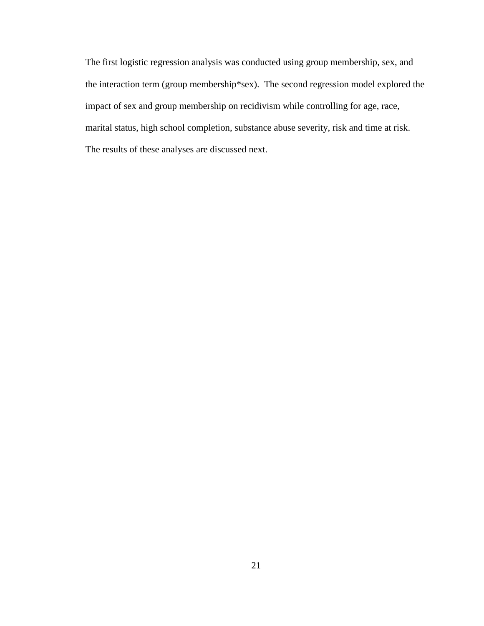The first logistic regression analysis was conducted using group membership, sex, and the interaction term (group membership\*sex). The second regression model explored the impact of sex and group membership on recidivism while controlling for age, race, marital status, high school completion, substance abuse severity, risk and time at risk. The results of these analyses are discussed next.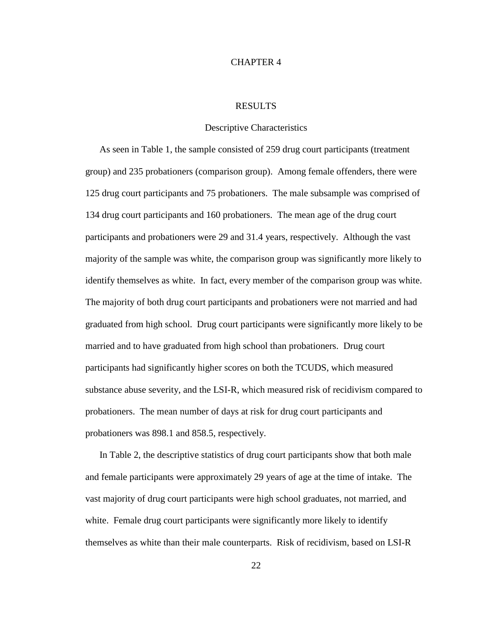## CHAPTER 4

#### RESULTS

#### Descriptive Characteristics

As seen in Table 1, the sample consisted of 259 drug court participants (treatment group) and 235 probationers (comparison group). Among female offenders, there were 125 drug court participants and 75 probationers. The male subsample was comprised of 134 drug court participants and 160 probationers. The mean age of the drug court participants and probationers were 29 and 31.4 years, respectively. Although the vast majority of the sample was white, the comparison group was significantly more likely to identify themselves as white. In fact, every member of the comparison group was white. The majority of both drug court participants and probationers were not married and had graduated from high school. Drug court participants were significantly more likely to be married and to have graduated from high school than probationers. Drug court participants had significantly higher scores on both the TCUDS, which measured substance abuse severity, and the LSI-R, which measured risk of recidivism compared to probationers. The mean number of days at risk for drug court participants and probationers was 898.1 and 858.5, respectively.

In Table 2, the descriptive statistics of drug court participants show that both male and female participants were approximately 29 years of age at the time of intake. The vast majority of drug court participants were high school graduates, not married, and white. Female drug court participants were significantly more likely to identify themselves as white than their male counterparts. Risk of recidivism, based on LSI-R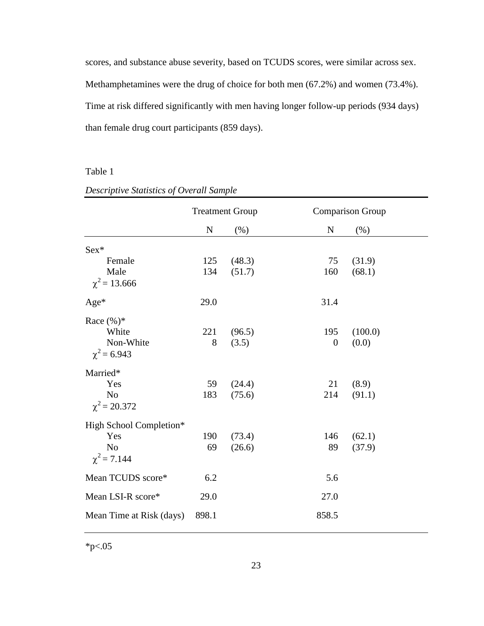scores, and substance abuse severity, based on TCUDS scores, were similar across sex. Methamphetamines were the drug of choice for both men (67.2%) and women (73.4%). Time at risk differed significantly with men having longer follow-up periods (934 days) than female drug court participants (859 days).

# Table 1

|                                                         | <b>Treatment Group</b> |                 |                         | <b>Comparison Group</b> |
|---------------------------------------------------------|------------------------|-----------------|-------------------------|-------------------------|
|                                                         | ${\bf N}$              | $(\% )$         | ${\bf N}$               | $(\%)$                  |
| $Sex*$                                                  |                        |                 |                         |                         |
| Female                                                  | 125                    | (48.3)          | 75                      | (31.9)                  |
| Male<br>$\chi^2$ = 13.666                               | 134                    | (51.7)          | 160                     | (68.1)                  |
| $Age*$                                                  | 29.0                   |                 | 31.4                    |                         |
| Race $(\%)^*$<br>White<br>Non-White<br>$\chi^2$ = 6.943 | 221<br>8               | (96.5)<br>(3.5) | 195<br>$\boldsymbol{0}$ | (100.0)<br>(0.0)        |
| Married*                                                |                        |                 |                         |                         |
| Yes                                                     | 59                     | (24.4)          | 21                      | (8.9)                   |
| N <sub>o</sub><br>$\chi^2$ = 20.372                     | 183                    | (75.6)          | 214                     | (91.1)                  |
| High School Completion*                                 |                        |                 |                         |                         |
| Yes                                                     | 190                    | (73.4)          | 146                     | (62.1)                  |
| N <sub>o</sub><br>$\chi^2$ = 7.144                      | 69                     | (26.6)          | 89                      | (37.9)                  |
| Mean TCUDS score*                                       | 6.2                    |                 | 5.6                     |                         |
| Mean LSI-R score*                                       | 29.0                   |                 | 27.0                    |                         |
| Mean Time at Risk (days)                                | 898.1                  |                 | 858.5                   |                         |

# *Descriptive Statistics of Overall Sample*

 $*_{p<.05}$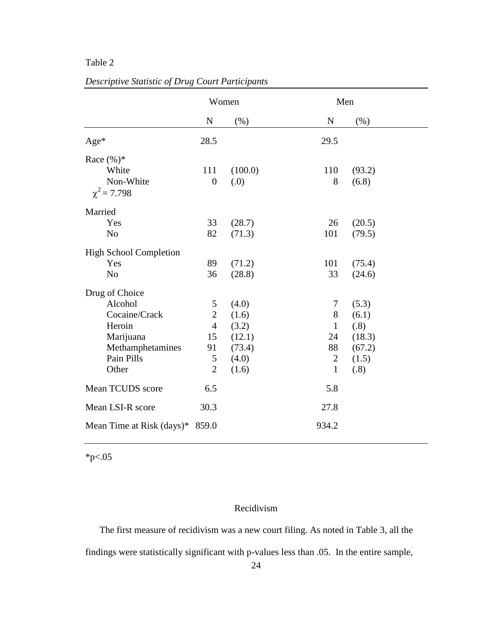# Table 2

|                               | Women            |         |              | Men    |
|-------------------------------|------------------|---------|--------------|--------|
|                               | ${\bf N}$        | (% )    | $\mathbf N$  | (% )   |
| $Age*$                        | 28.5             |         | 29.5         |        |
| Race $(\%)^*$                 |                  |         |              |        |
| White                         | 111              | (100.0) | 110          | (93.2) |
| Non-White<br>$\chi^2$ = 7.798 | $\boldsymbol{0}$ | (0.)    | 8            | (6.8)  |
| Married                       |                  |         |              |        |
| Yes                           | 33               | (28.7)  | 26           | (20.5) |
| N <sub>o</sub>                | 82               | (71.3)  | 101          | (79.5) |
| <b>High School Completion</b> |                  |         |              |        |
| Yes                           | 89               | (71.2)  | 101          | (75.4) |
| N <sub>o</sub>                | 36               | (28.8)  | 33           | (24.6) |
| Drug of Choice                |                  |         |              |        |
| Alcohol                       | 5                | (4.0)   | 7            | (5.3)  |
| Cocaine/Crack                 | $\sqrt{2}$       | (1.6)   | 8            | (6.1)  |
| Heroin                        | $\overline{4}$   | (3.2)   | $\mathbf{1}$ | (.8)   |
| Marijuana                     | 15               | (12.1)  | 24           | (18.3) |
| Methamphetamines              | 91               | (73.4)  | 88           | (67.2) |
| Pain Pills                    | $\sqrt{5}$       | (4.0)   | $\mathbf{2}$ | (1.5)  |
| Other                         | $\overline{2}$   | (1.6)   | $\mathbf{1}$ | (.8)   |
| Mean TCUDS score              | 6.5              |         | 5.8          |        |
| Mean LSI-R score              | 30.3             |         | 27.8         |        |
| Mean Time at Risk (days)*     | 859.0            |         | 934.2        |        |

*Descriptive Statistic of Drug Court Participants*

 $*_{p<.05}$ 

# Recidivism

The first measure of recidivism was a new court filing. As noted in Table 3, all the findings were statistically significant with p-values less than .05. In the entire sample,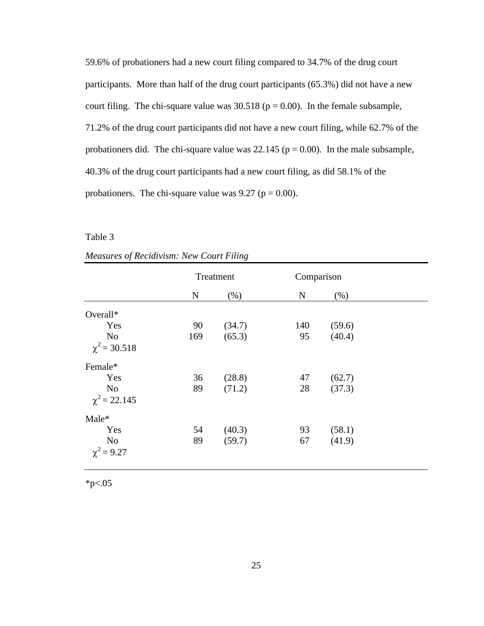59.6% of probationers had a new court filing compared to 34.7% of the drug court participants. More than half of the drug court participants (65.3%) did not have a new court filing. The chi-square value was  $30.518$  ( $p = 0.00$ ). In the female subsample, 71.2% of the drug court participants did not have a new court filing, while 62.7% of the probationers did. The chi-square value was  $22.145$  ( $p = 0.00$ ). In the male subsample, 40.3% of the drug court participants had a new court filing, as did 58.1% of the probationers. The chi-square value was  $9.27$  ( $p = 0.00$ ).

Table 3

|                   | Treatment   |        | Comparison |        |
|-------------------|-------------|--------|------------|--------|
|                   | $\mathbf N$ | (% )   | ${\bf N}$  | (% )   |
| Overall*          |             |        |            |        |
| Yes               | 90          | (34.7) | 140        | (59.6) |
| No                | 169         | (65.3) | 95         | (40.4) |
| $\chi^2$ = 30.518 |             |        |            |        |
| Female*           |             |        |            |        |
| Yes               | 36          | (28.8) | 47         | (62.7) |
| No                | 89          | (71.2) | 28         | (37.3) |
| $\chi^2$ = 22.145 |             |        |            |        |
| Male*             |             |        |            |        |
| Yes               | 54          | (40.3) | 93         | (58.1) |
| No                | 89          | (59.7) | 67         | (41.9) |
| $\chi^2 = 9.27$   |             |        |            |        |

|  | <b>Measures of Recidivism: New Court Filing</b> |  |  |
|--|-------------------------------------------------|--|--|
|  |                                                 |  |  |

 $*_{p<.05}$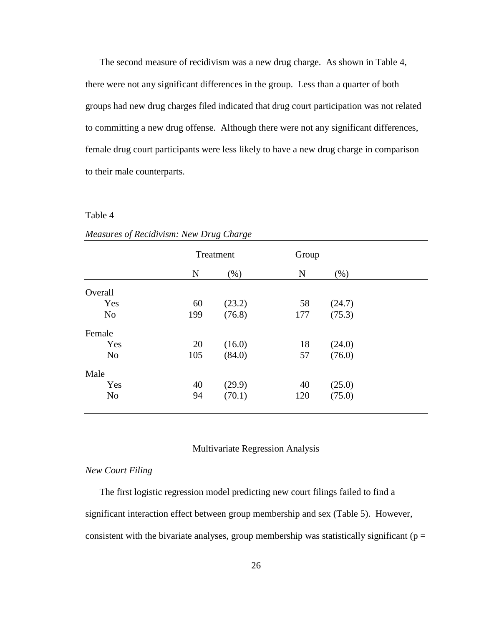The second measure of recidivism was a new drug charge. As shown in Table 4, there were not any significant differences in the group. Less than a quarter of both groups had new drug charges filed indicated that drug court participation was not related to committing a new drug offense. Although there were not any significant differences, female drug court participants were less likely to have a new drug charge in comparison to their male counterparts.

#### Table 4

|                |     | Treatment |             | Group  |  |  |
|----------------|-----|-----------|-------------|--------|--|--|
|                | N   | $(\% )$   | $\mathbf N$ | (% )   |  |  |
| Overall        |     |           |             |        |  |  |
| Yes            | 60  | (23.2)    | 58          | (24.7) |  |  |
| N <sub>o</sub> | 199 | (76.8)    | 177         | (75.3) |  |  |
| Female         |     |           |             |        |  |  |
| Yes            | 20  | (16.0)    | 18          | (24.0) |  |  |
| N <sub>o</sub> | 105 | (84.0)    | 57          | (76.0) |  |  |
| Male           |     |           |             |        |  |  |
| Yes            | 40  | (29.9)    | 40          | (25.0) |  |  |
| N <sub>o</sub> | 94  | (70.1)    | 120         | (75.0) |  |  |
|                |     |           |             |        |  |  |

| Measures of Recidivism: New Drug Charge |  |  |  |
|-----------------------------------------|--|--|--|
|                                         |  |  |  |

#### Multivariate Regression Analysis

# *New Court Filing*

The first logistic regression model predicting new court filings failed to find a significant interaction effect between group membership and sex (Table 5). However, consistent with the bivariate analyses, group membership was statistically significant ( $p =$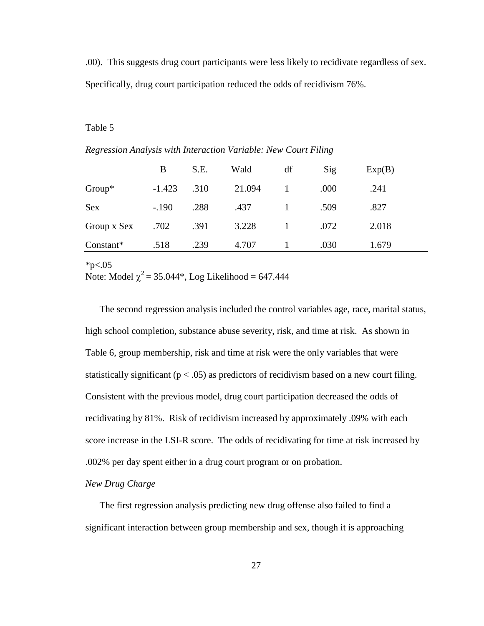.00). This suggests drug court participants were less likely to recidivate regardless of sex. Specifically, drug court participation reduced the odds of recidivism 76%.

#### Table 5

|             | B        | S.E. | Wald   | df | Sig  | Exp(B) |  |
|-------------|----------|------|--------|----|------|--------|--|
| $Group^*$   | $-1.423$ | .310 | 21.094 |    | .000 | .241   |  |
| <b>Sex</b>  | $-.190$  | .288 | .437   |    | .509 | .827   |  |
| Group x Sex | .702     | .391 | 3.228  |    | .072 | 2.018  |  |
| Constant*   | .518     | .239 | 4.707  |    | .030 | 1.679  |  |
|             |          |      |        |    |      |        |  |

*Regression Analysis with Interaction Variable: New Court Filing*

 $*_{p<.05}$ 

Note: Model  $\chi^2$  = 35.044\*, Log Likelihood = 647.444

The second regression analysis included the control variables age, race, marital status, high school completion, substance abuse severity, risk, and time at risk. As shown in Table 6, group membership, risk and time at risk were the only variables that were statistically significant ( $p < .05$ ) as predictors of recidivism based on a new court filing. Consistent with the previous model, drug court participation decreased the odds of recidivating by 81%. Risk of recidivism increased by approximately .09% with each score increase in the LSI-R score. The odds of recidivating for time at risk increased by .002% per day spent either in a drug court program or on probation.

## *New Drug Charge*

The first regression analysis predicting new drug offense also failed to find a significant interaction between group membership and sex, though it is approaching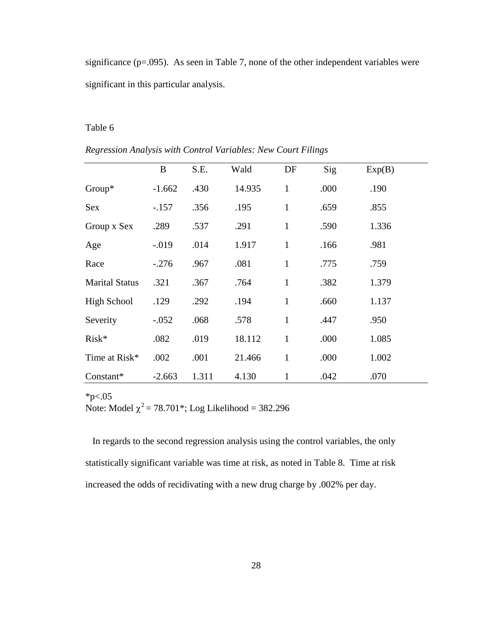significance ( $p=0.095$ ). As seen in Table 7, none of the other independent variables were significant in this particular analysis.

#### Table 6

|                       | B        | S.E.  | Wald   | DF           | Sig  | Exp(B) |  |
|-----------------------|----------|-------|--------|--------------|------|--------|--|
| $Group^*$             | $-1.662$ | .430  | 14.935 | $\mathbf{1}$ | .000 | .190   |  |
| Sex                   | $-.157$  | .356  | .195   | $\mathbf{1}$ | .659 | .855   |  |
| Group x Sex           | .289     | .537  | .291   | $\mathbf{1}$ | .590 | 1.336  |  |
| Age                   | $-0.019$ | .014  | 1.917  | $\mathbf{1}$ | .166 | .981   |  |
| Race                  | $-.276$  | .967  | .081   | $\mathbf{1}$ | .775 | .759   |  |
| <b>Marital Status</b> | .321     | .367  | .764   | $\mathbf{1}$ | .382 | 1.379  |  |
| High School           | .129     | .292  | .194   | $\mathbf{1}$ | .660 | 1.137  |  |
| Severity              | $-.052$  | .068  | .578   | $\mathbf{1}$ | .447 | .950   |  |
| $Risk*$               | .082     | .019  | 18.112 | $\mathbf{1}$ | .000 | 1.085  |  |
| Time at Risk*         | .002     | .001  | 21.466 | $\mathbf{1}$ | .000 | 1.002  |  |
| Constant*             | $-2.663$ | 1.311 | 4.130  | 1            | .042 | .070   |  |

*Regression Analysis with Control Variables: New Court Filings*

# $*_{p<.05}$

Note: Model  $\chi^2$  = 78.701<sup>\*</sup>; Log Likelihood = 382.296

In regards to the second regression analysis using the control variables, the only statistically significant variable was time at risk, as noted in Table 8. Time at risk increased the odds of recidivating with a new drug charge by .002% per day.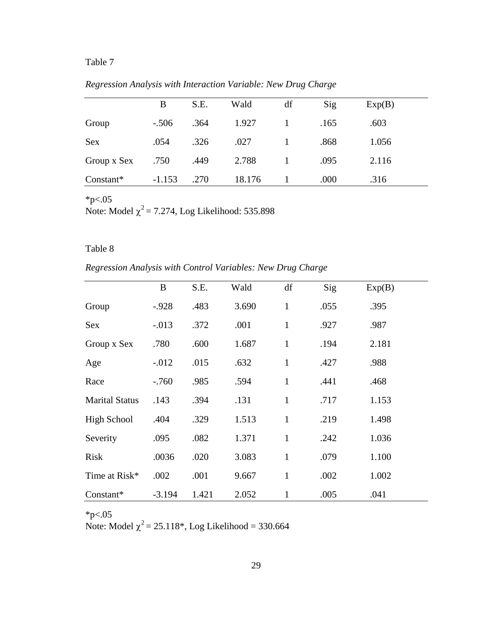# Table 7

|             | B        | S.E. | Wald   | df | Sig  | Exp(B) |  |
|-------------|----------|------|--------|----|------|--------|--|
| Group       | $-.506$  | .364 | 1.927  |    | .165 | .603   |  |
| <b>Sex</b>  | .054     | .326 | .027   |    | .868 | 1.056  |  |
| Group x Sex | .750     | .449 | 2.788  |    | .095 | 2.116  |  |
| Constant*   | $-1.153$ | .270 | 18.176 |    | .000 | .316   |  |

*Regression Analysis with Interaction Variable: New Drug Charge*

 $*p<.05$ 

Note: Model  $\chi^2$  = 7.274, Log Likelihood: 535.898

# Table 8

*Regression Analysis with Control Variables: New Drug Charge*

|                       | B        | S.E.  | Wald  | df           | Sig  | Exp(B) |  |
|-----------------------|----------|-------|-------|--------------|------|--------|--|
| Group                 | $-.928$  | .483  | 3.690 | $\mathbf{1}$ | .055 | .395   |  |
| Sex                   | $-.013$  | .372  | .001  | $\mathbf{1}$ | .927 | .987   |  |
| Group x Sex           | .780     | .600  | 1.687 | $\mathbf{1}$ | .194 | 2.181  |  |
| Age                   | $-.012$  | .015  | .632  | $\mathbf{1}$ | .427 | .988   |  |
| Race                  | $-.760$  | .985  | .594  | $\mathbf{1}$ | .441 | .468   |  |
| <b>Marital Status</b> | .143     | .394  | .131  | $\mathbf{1}$ | .717 | 1.153  |  |
| <b>High School</b>    | .404     | .329  | 1.513 | $\mathbf{1}$ | .219 | 1.498  |  |
| Severity              | .095     | .082  | 1.371 | $\mathbf{1}$ | .242 | 1.036  |  |
| <b>Risk</b>           | .0036    | .020  | 3.083 | $\mathbf{1}$ | .079 | 1.100  |  |
| Time at Risk*         | .002     | .001  | 9.667 | $\mathbf{1}$ | .002 | 1.002  |  |
| Constant*             | $-3.194$ | 1.421 | 2.052 | $\mathbf{1}$ | .005 | .041   |  |

 $*_{p<.05}$ 

Note: Model  $\chi^2$  = 25.118<sup>\*</sup>, Log Likelihood = 330.664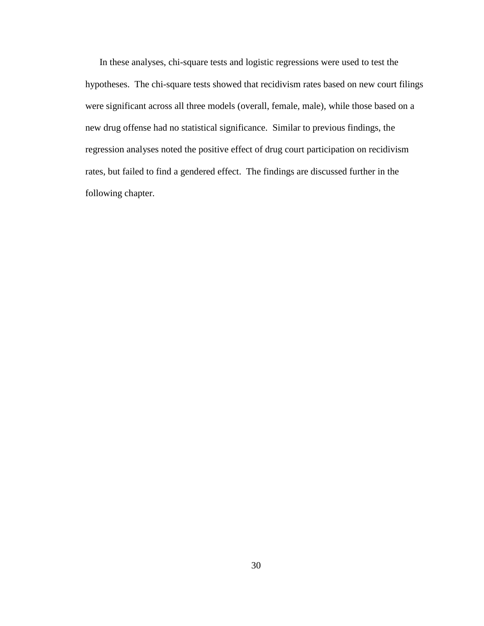In these analyses, chi-square tests and logistic regressions were used to test the hypotheses. The chi-square tests showed that recidivism rates based on new court filings were significant across all three models (overall, female, male), while those based on a new drug offense had no statistical significance. Similar to previous findings, the regression analyses noted the positive effect of drug court participation on recidivism rates, but failed to find a gendered effect. The findings are discussed further in the following chapter.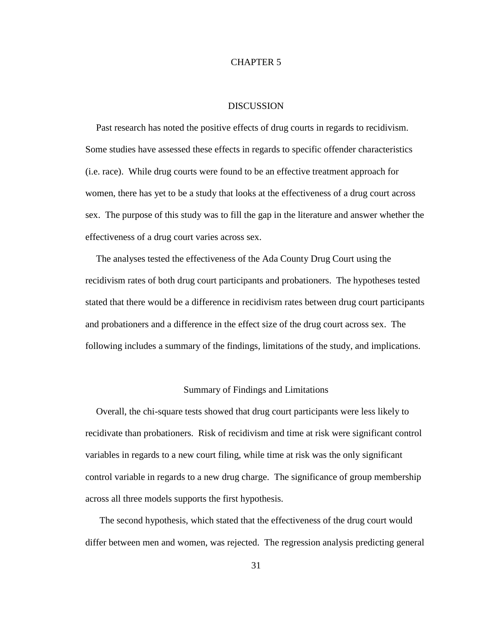## CHAPTER 5

# DISCUSSION

Past research has noted the positive effects of drug courts in regards to recidivism. Some studies have assessed these effects in regards to specific offender characteristics (i.e. race). While drug courts were found to be an effective treatment approach for women, there has yet to be a study that looks at the effectiveness of a drug court across sex. The purpose of this study was to fill the gap in the literature and answer whether the effectiveness of a drug court varies across sex.

The analyses tested the effectiveness of the Ada County Drug Court using the recidivism rates of both drug court participants and probationers. The hypotheses tested stated that there would be a difference in recidivism rates between drug court participants and probationers and a difference in the effect size of the drug court across sex. The following includes a summary of the findings, limitations of the study, and implications.

#### Summary of Findings and Limitations

Overall, the chi-square tests showed that drug court participants were less likely to recidivate than probationers. Risk of recidivism and time at risk were significant control variables in regards to a new court filing, while time at risk was the only significant control variable in regards to a new drug charge. The significance of group membership across all three models supports the first hypothesis.

The second hypothesis, which stated that the effectiveness of the drug court would differ between men and women, was rejected. The regression analysis predicting general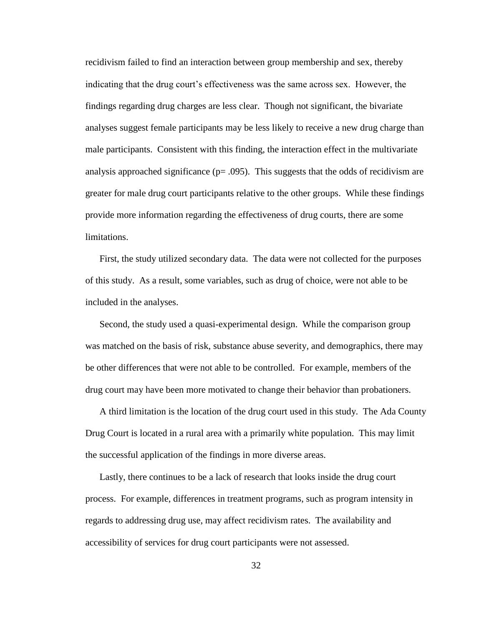recidivism failed to find an interaction between group membership and sex, thereby indicating that the drug court's effectiveness was the same across sex. However, the findings regarding drug charges are less clear. Though not significant, the bivariate analyses suggest female participants may be less likely to receive a new drug charge than male participants. Consistent with this finding, the interaction effect in the multivariate analysis approached significance ( $p = .095$ ). This suggests that the odds of recidivism are greater for male drug court participants relative to the other groups. While these findings provide more information regarding the effectiveness of drug courts, there are some limitations.

First, the study utilized secondary data. The data were not collected for the purposes of this study. As a result, some variables, such as drug of choice, were not able to be included in the analyses.

Second, the study used a quasi-experimental design. While the comparison group was matched on the basis of risk, substance abuse severity, and demographics, there may be other differences that were not able to be controlled. For example, members of the drug court may have been more motivated to change their behavior than probationers.

A third limitation is the location of the drug court used in this study. The Ada County Drug Court is located in a rural area with a primarily white population. This may limit the successful application of the findings in more diverse areas.

Lastly, there continues to be a lack of research that looks inside the drug court process. For example, differences in treatment programs, such as program intensity in regards to addressing drug use, may affect recidivism rates. The availability and accessibility of services for drug court participants were not assessed.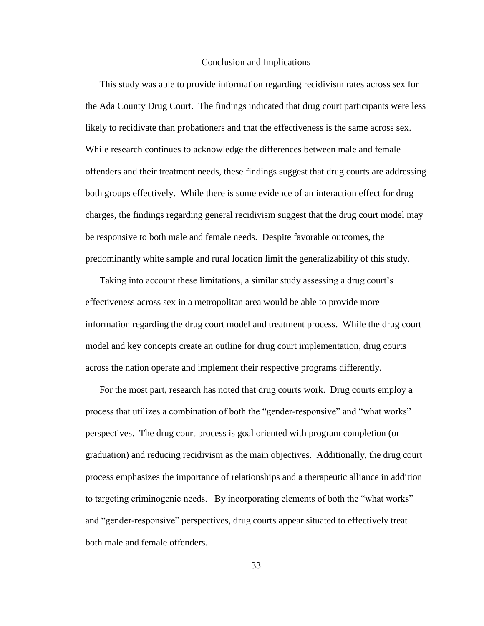#### Conclusion and Implications

This study was able to provide information regarding recidivism rates across sex for the Ada County Drug Court. The findings indicated that drug court participants were less likely to recidivate than probationers and that the effectiveness is the same across sex. While research continues to acknowledge the differences between male and female offenders and their treatment needs, these findings suggest that drug courts are addressing both groups effectively. While there is some evidence of an interaction effect for drug charges, the findings regarding general recidivism suggest that the drug court model may be responsive to both male and female needs. Despite favorable outcomes, the predominantly white sample and rural location limit the generalizability of this study.

Taking into account these limitations, a similar study assessing a drug court's effectiveness across sex in a metropolitan area would be able to provide more information regarding the drug court model and treatment process. While the drug court model and key concepts create an outline for drug court implementation, drug courts across the nation operate and implement their respective programs differently.

For the most part, research has noted that drug courts work. Drug courts employ a process that utilizes a combination of both the "gender-responsive" and "what works" perspectives. The drug court process is goal oriented with program completion (or graduation) and reducing recidivism as the main objectives. Additionally, the drug court process emphasizes the importance of relationships and a therapeutic alliance in addition to targeting criminogenic needs. By incorporating elements of both the "what works" and "gender-responsive" perspectives, drug courts appear situated to effectively treat both male and female offenders.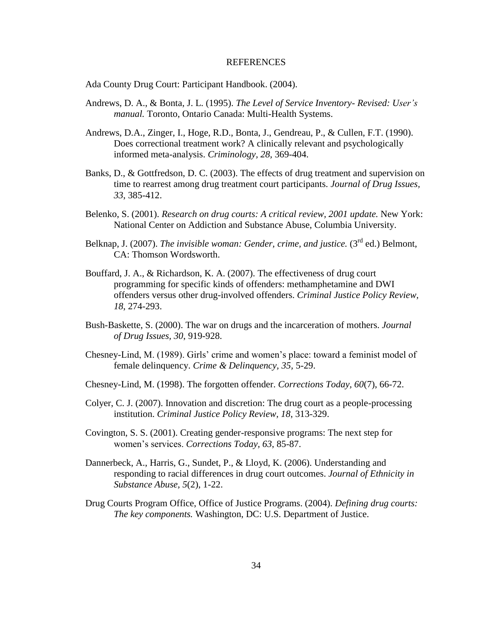#### REFERENCES

Ada County Drug Court: Participant Handbook. (2004).

- Andrews, D. A., & Bonta, J. L. (1995). *The Level of Service Inventory- Revised: User's manual.* Toronto, Ontario Canada: Multi-Health Systems.
- Andrews, D.A., Zinger, I., Hoge, R.D., Bonta, J., Gendreau, P., & Cullen, F.T. (1990). Does correctional treatment work? A clinically relevant and psychologically informed meta-analysis. *Criminology, 28,* 369-404.
- Banks, D., & Gottfredson, D. C. (2003). The effects of drug treatment and supervision on time to rearrest among drug treatment court participants. *Journal of Drug Issues, 33*, 385-412.
- Belenko, S. (2001). *Research on drug courts: A critical review, 2001 update.* New York: National Center on Addiction and Substance Abuse, Columbia University.
- Belknap, J. (2007). *The invisible woman: Gender, crime, and justice.* (3<sup>rd</sup> ed.) Belmont. CA: Thomson Wordsworth.
- Bouffard, J. A., & Richardson, K. A. (2007). The effectiveness of drug court programming for specific kinds of offenders: methamphetamine and DWI offenders versus other drug-involved offenders. *Criminal Justice Policy Review, 18*, 274-293.
- Bush-Baskette, S. (2000). The war on drugs and the incarceration of mothers. *Journal of Drug Issues, 30*, 919-928.
- Chesney-Lind, M. (1989). Girls' crime and women's place: toward a feminist model of female delinquency. *Crime & Delinquency, 35,* 5-29.
- Chesney-Lind, M. (1998). The forgotten offender. *Corrections Today, 60*(7), 66-72.
- Colyer, C. J. (2007). Innovation and discretion: The drug court as a people-processing institution. *Criminal Justice Policy Review, 18*, 313-329.
- Covington, S. S. (2001). Creating gender-responsive programs: The next step for women's services. *Corrections Today, 63*, 85-87.
- Dannerbeck, A., Harris, G., Sundet, P., & Lloyd, K. (2006). Understanding and responding to racial differences in drug court outcomes. *Journal of Ethnicity in Substance Abuse, 5*(2), 1-22.
- Drug Courts Program Office, Office of Justice Programs. (2004). *Defining drug courts: The key components.* Washington, DC: U.S. Department of Justice.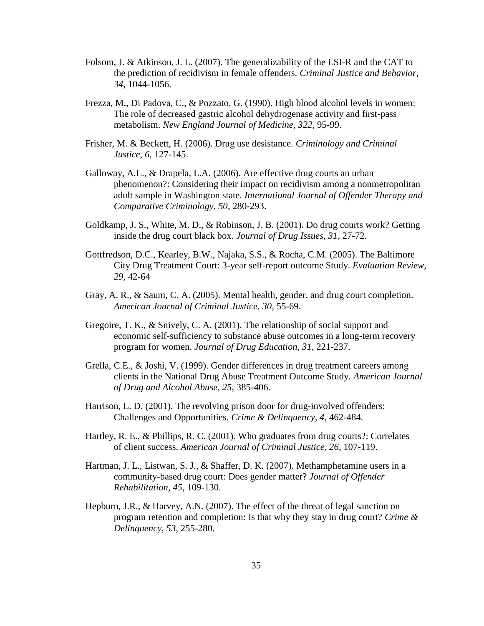- Folsom, J. & Atkinson, J. L. (2007). The generalizability of the LSI-R and the CAT to the prediction of recidivism in female offenders. *Criminal Justice and Behavior, 34*, 1044-1056.
- Frezza, M., Di Padova, C., & Pozzato, G. (1990). High blood alcohol levels in women: The role of decreased gastric alcohol dehydrogenase activity and first-pass metabolism. *New England Journal of Medicine, 322,* 95-99.
- Frisher, M. & Beckett, H. (2006). Drug use desistance. *Criminology and Criminal Justice, 6,* 127-145.
- Galloway, A.L., & Drapela, L.A. (2006). Are effective drug courts an urban phenomenon?: Considering their impact on recidivism among a nonmetropolitan adult sample in Washington state. *International Journal of Offender Therapy and Comparative Criminology, 50*, 280-293.
- Goldkamp, J. S., White, M. D., & Robinson, J. B. (2001). Do drug courts work? Getting inside the drug court black box. *Journal of Drug Issues, 31*, 27-72.
- Gottfredson, D.C., Kearley, B.W., Najaka, S.S., & Rocha, C.M. (2005). The Baltimore City Drug Treatment Court: 3-year self-report outcome Study. *Evaluation Review, 29,* 42-64
- Gray, A. R., & Saum, C. A. (2005). Mental health, gender, and drug court completion. *American Journal of Criminal Justice, 30,* 55-69.
- Gregoire, T. K., & Snively, C. A. (2001). The relationship of social support and economic self-sufficiency to substance abuse outcomes in a long-term recovery program for women. *Journal of Drug Education, 31*, 221-237.
- Grella, C.E., & Joshi, V. (1999). Gender differences in drug treatment careers among clients in the National Drug Abuse Treatment Outcome Study. *American Journal of Drug and Alcohol Abuse, 25*, 385-406.
- Harrison, L. D. (2001). The revolving prison door for drug-involved offenders: Challenges and Opportunities. *Crime & Delinquency, 4*, 462-484.
- Hartley, R. E., & Phillips, R. C. (2001). Who graduates from drug courts?: Correlates of client success. *American Journal of Criminal Justice, 26*, 107-119.
- Hartman, J. L., Listwan, S. J., & Shaffer, D. K. (2007). Methamphetamine users in a community-based drug court: Does gender matter? *Journal of Offender Rehabilitation, 45*, 109-130.
- Hepburn, J.R., & Harvey, A.N. (2007). The effect of the threat of legal sanction on program retention and completion: Is that why they stay in drug court? *Crime & Delinquency, 53*, 255-280.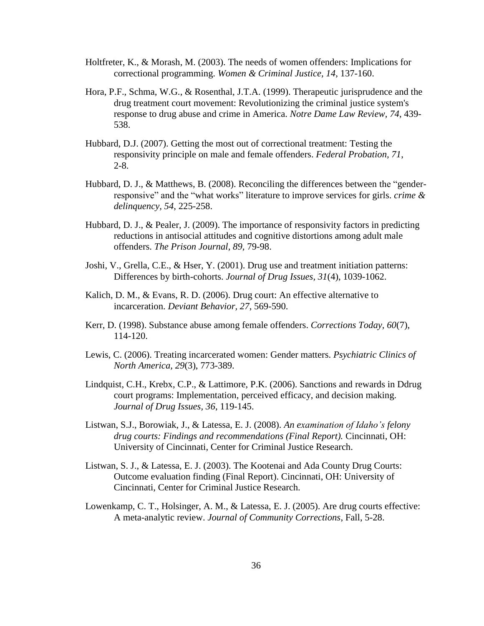- Holtfreter, K., & Morash, M. (2003). The needs of women offenders: Implications for correctional programming. *Women & Criminal Justice, 14*, 137-160.
- Hora, P.F., Schma, W.G., & Rosenthal, J.T.A. (1999). Therapeutic jurisprudence and the drug treatment court movement: Revolutionizing the criminal justice system's response to drug abuse and crime in America. *Notre Dame Law Review, 74*, 439- 538.
- Hubbard, D.J. (2007). Getting the most out of correctional treatment: Testing the responsivity principle on male and female offenders. *Federal Probation, 71*, 2-8.
- Hubbard, D. J., & Matthews, B. (2008). Reconciling the differences between the "genderresponsive" and the "what works" literature to improve services for girls. *crime & delinquency, 54*, 225-258.
- Hubbard, D. J., & Pealer, J. (2009). The importance of responsivity factors in predicting reductions in antisocial attitudes and cognitive distortions among adult male offenders. *The Prison Journal, 89,* 79-98.
- Joshi, V., Grella, C.E., & Hser, Y. (2001). Drug use and treatment initiation patterns: Differences by birth-cohorts. *Journal of Drug Issues, 31*(4), 1039-1062.
- Kalich, D. M., & Evans, R. D. (2006). Drug court: An effective alternative to incarceration. *Deviant Behavior, 27*, 569-590.
- Kerr, D. (1998). Substance abuse among female offenders. *Corrections Today, 60*(7), 114-120.
- Lewis, C. (2006). Treating incarcerated women: Gender matters. *Psychiatric Clinics of North America, 29*(3), 773-389.
- Lindquist, C.H., Krebx, C.P., & Lattimore, P.K. (2006). Sanctions and rewards in Ddrug court programs: Implementation, perceived efficacy, and decision making. *Journal of Drug Issues, 36*, 119-145.
- Listwan, S.J., Borowiak, J., & Latessa, E. J. (2008). *An examination of Idaho's felony drug courts: Findings and recommendations (Final Report).* Cincinnati, OH: University of Cincinnati, Center for Criminal Justice Research.
- Listwan, S. J., & Latessa, E. J. (2003). The Kootenai and Ada County Drug Courts: Outcome evaluation finding (Final Report). Cincinnati, OH: University of Cincinnati, Center for Criminal Justice Research.
- Lowenkamp, C. T., Holsinger, A. M., & Latessa, E. J. (2005). Are drug courts effective: A meta-analytic review. *Journal of Community Corrections*, Fall, 5-28.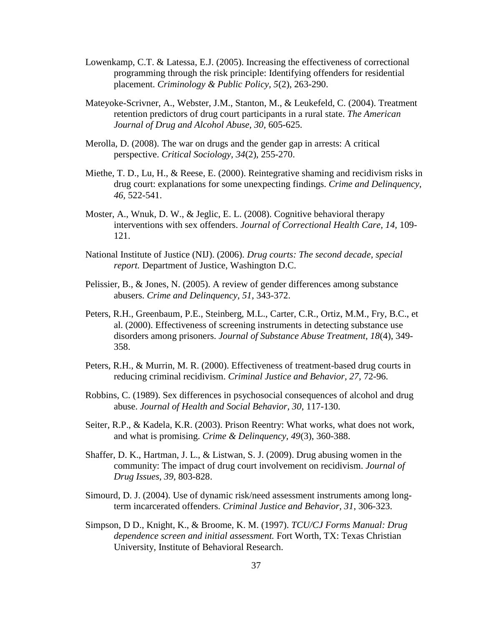- Lowenkamp, C.T. & Latessa, E.J. (2005). Increasing the effectiveness of correctional programming through the risk principle: Identifying offenders for residential placement. *Criminology & Public Policy, 5*(2), 263-290.
- Mateyoke-Scrivner, A., Webster, J.M., Stanton, M., & Leukefeld, C. (2004). Treatment retention predictors of drug court participants in a rural state. *The American Journal of Drug and Alcohol Abuse, 30,* 605-625.
- Merolla, D. (2008). The war on drugs and the gender gap in arrests: A critical perspective. *Critical Sociology, 34*(2), 255-270.
- Miethe, T. D., Lu, H., & Reese, E. (2000). Reintegrative shaming and recidivism risks in drug court: explanations for some unexpecting findings. *Crime and Delinquency, 46,* 522-541.
- Moster, A., Wnuk, D. W., & Jeglic, E. L. (2008). Cognitive behavioral therapy interventions with sex offenders. *Journal of Correctional Health Care, 14,* 109- 121.
- National Institute of Justice (NIJ). (2006). *Drug courts: The second decade, special report.* Department of Justice, Washington D.C.
- Pelissier, B., & Jones, N. (2005). A review of gender differences among substance abusers. *Crime and Delinquency, 51*, 343-372.
- Peters, R.H., Greenbaum, P.E., Steinberg, M.L., Carter, C.R., Ortiz, M.M., Fry, B.C., et al. (2000). Effectiveness of screening instruments in detecting substance use disorders among prisoners. *Journal of Substance Abuse Treatment, 18*(4), 349- 358.
- Peters, R.H., & Murrin, M. R. (2000). Effectiveness of treatment-based drug courts in reducing criminal recidivism. *Criminal Justice and Behavior, 27,* 72-96.
- Robbins, C. (1989). Sex differences in psychosocial consequences of alcohol and drug abuse. *Journal of Health and Social Behavior, 30*, 117-130.
- Seiter, R.P., & Kadela, K.R. (2003). Prison Reentry: What works, what does not work, and what is promising. *Crime & Delinquency, 49*(3), 360-388.
- Shaffer, D. K., Hartman, J. L., & Listwan, S. J. (2009). Drug abusing women in the community: The impact of drug court involvement on recidivism. *Journal of Drug Issues, 39,* 803-828.
- Simourd, D. J. (2004). Use of dynamic risk/need assessment instruments among longterm incarcerated offenders. *Criminal Justice and Behavior, 31*, 306-323.
- Simpson, D D., Knight, K., & Broome, K. M. (1997). *TCU/CJ Forms Manual: Drug dependence screen and initial assessment.* Fort Worth, TX: Texas Christian University, Institute of Behavioral Research.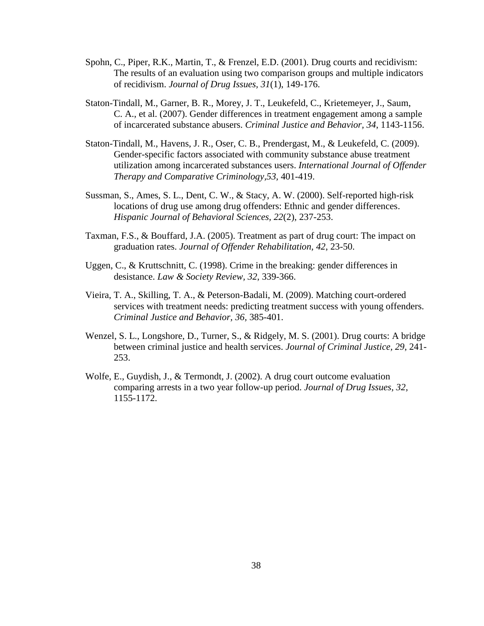- Spohn, C., Piper, R.K., Martin, T., & Frenzel, E.D. (2001). Drug courts and recidivism: The results of an evaluation using two comparison groups and multiple indicators of recidivism. *Journal of Drug Issues, 31*(1), 149-176.
- Staton-Tindall, M., Garner, B. R., Morey, J. T., Leukefeld, C., Krietemeyer, J., Saum, C. A., et al. (2007). Gender differences in treatment engagement among a sample of incarcerated substance abusers. *Criminal Justice and Behavior, 34*, 1143-1156.
- Staton-Tindall, M., Havens, J. R., Oser, C. B., Prendergast, M., & Leukefeld, C. (2009). Gender-specific factors associated with community substance abuse treatment utilization among incarcerated substances users. *International Journal of Offender Therapy and Comparative Criminology,53,* 401-419.
- Sussman, S., Ames, S. L., Dent, C. W., & Stacy, A. W. (2000). Self-reported high-risk locations of drug use among drug offenders: Ethnic and gender differences. *Hispanic Journal of Behavioral Sciences, 22*(2), 237-253.
- Taxman, F.S., & Bouffard, J.A. (2005). Treatment as part of drug court: The impact on graduation rates. *Journal of Offender Rehabilitation, 42*, 23-50.
- Uggen, C., & Kruttschnitt, C. (1998). Crime in the breaking: gender differences in desistance. *Law & Society Review, 32*, 339-366.
- Vieira, T. A., Skilling, T. A., & Peterson-Badali, M. (2009). Matching court-ordered services with treatment needs: predicting treatment success with young offenders. *Criminal Justice and Behavior, 36,* 385-401.
- Wenzel, S. L., Longshore, D., Turner, S., & Ridgely, M. S. (2001). Drug courts: A bridge between criminal justice and health services. *Journal of Criminal Justice, 29*, 241- 253.
- Wolfe, E., Guydish, J., & Termondt, J. (2002). A drug court outcome evaluation comparing arrests in a two year follow-up period. *Journal of Drug Issues, 32,*  1155-1172.